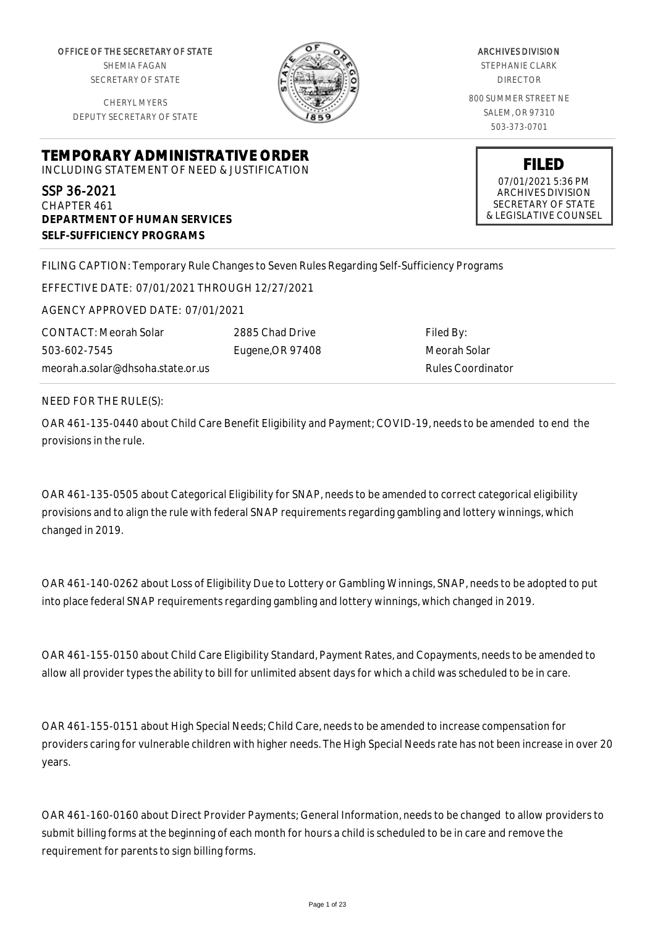OFFICE OF THE SECRETARY OF STATE SHEMIA FAGAN SECRETARY OF STATE

CHERYL MYERS DEPUTY SECRETARY OF STATE



ARCHIVES DIVISION STEPHANIE CLARK DIRECTOR 800 SUMMER STREET NE SALEM, OR 97310 503-373-0701

> **FILED** 07/01/2021 5:36 PM ARCHIVES DIVISION SECRETARY OF STATE & LEGISLATIVE COUNSEL

**TEMPORARY ADMINISTRATIVE ORDER** INCLUDING STATEMENT OF NEED & JUSTIFICATION

SSP 36-2021 CHAPTER 461 **DEPARTMENT OF HUMAN SERVICES SELF-SUFFICIENCY PROGRAMS**

FILING CAPTION: Temporary Rule Changes to Seven Rules Regarding Self-Sufficiency Programs

EFFECTIVE DATE: 07/01/2021 THROUGH 12/27/2021

AGENCY APPROVED DATE: 07/01/2021

CONTACT: Meorah Solar 503-602-7545 meorah.a.solar@dhsoha.state.or.us

2885 Chad Drive Eugene,OR 97408

Filed By: Meorah Solar Rules Coordinator

NEED FOR THE RULE(S):

OAR 461-135-0440 about Child Care Benefit Eligibility and Payment; COVID-19, needs to be amended to end the provisions in the rule.

OAR 461-135-0505 about Categorical Eligibility for SNAP, needs to be amended to correct categorical eligibility provisions and to align the rule with federal SNAP requirements regarding gambling and lottery winnings, which changed in 2019.

OAR 461-140-0262 about Loss of Eligibility Due to Lottery or Gambling Winnings, SNAP, needs to be adopted to put into place federal SNAP requirements regarding gambling and lottery winnings, which changed in 2019.

OAR 461-155-0150 about Child Care Eligibility Standard, Payment Rates, and Copayments, needs to be amended to allow all provider types the ability to bill for unlimited absent days for which a child was scheduled to be in care.

OAR 461-155-0151 about High Special Needs; Child Care, needs to be amended to increase compensation for providers caring for vulnerable children with higher needs. The High Special Needs rate has not been increase in over 20 years.

OAR 461-160-0160 about Direct Provider Payments; General Information, needs to be changed to allow providers to submit billing forms at the beginning of each month for hours a child is scheduled to be in care and remove the requirement for parents to sign billing forms.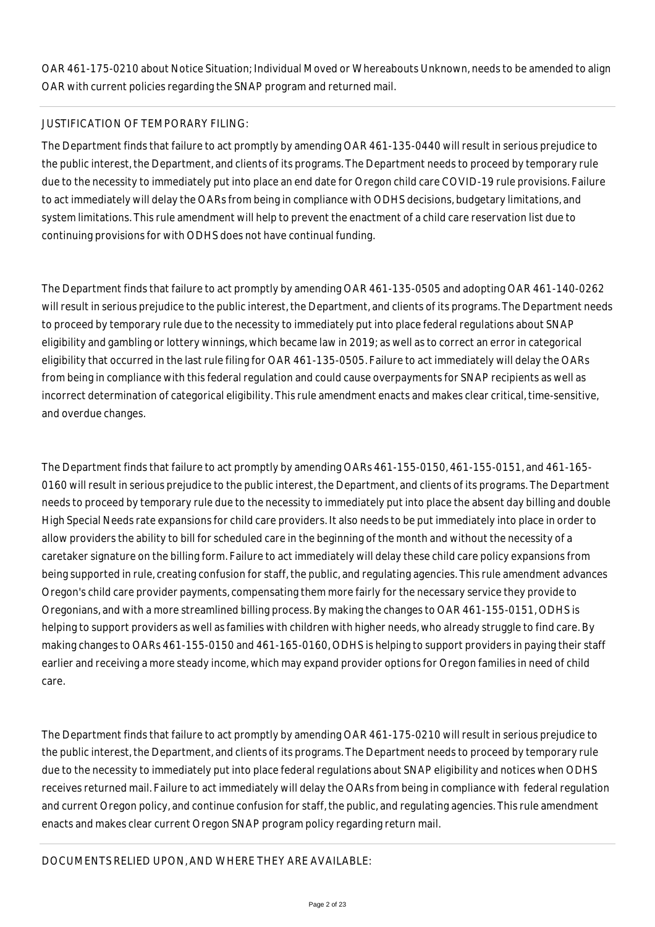OAR 461-175-0210 about Notice Situation; Individual Moved or Whereabouts Unknown, needs to be amended to align OAR with current policies regarding the SNAP program and returned mail.

# JUSTIFICATION OF TEMPORARY FILING:

The Department finds that failure to act promptly by amending OAR 461-135-0440 will result in serious prejudice to the public interest, the Department, and clients of its programs. The Department needs to proceed by temporary rule due to the necessity to immediately put into place an end date for Oregon child care COVID-19 rule provisions. Failure to act immediately will delay the OARs from being in compliance with ODHS decisions, budgetary limitations, and system limitations. This rule amendment will help to prevent the enactment of a child care reservation list due to continuing provisions for with ODHS does not have continual funding.

The Department finds that failure to act promptly by amending OAR 461-135-0505 and adopting OAR 461-140-0262 will result in serious prejudice to the public interest, the Department, and clients of its programs. The Department needs to proceed by temporary rule due to the necessity to immediately put into place federal regulations about SNAP eligibility and gambling or lottery winnings, which became law in 2019; as well as to correct an error in categorical eligibility that occurred in the last rule filing for OAR 461-135-0505. Failure to act immediately will delay the OARs from being in compliance with this federal regulation and could cause overpayments for SNAP recipients as well as incorrect determination of categorical eligibility. This rule amendment enacts and makes clear critical, time-sensitive, and overdue changes.

The Department finds that failure to act promptly by amending OARs 461-155-0150, 461-155-0151, and 461-165- 0160 will result in serious prejudice to the public interest, the Department, and clients of its programs. The Department needs to proceed by temporary rule due to the necessity to immediately put into place the absent day billing and double High Special Needs rate expansions for child care providers. It also needs to be put immediately into place in order to allow providers the ability to bill for scheduled care in the beginning of the month and without the necessity of a caretaker signature on the billing form. Failure to act immediately will delay these child care policy expansions from being supported in rule, creating confusion for staff, the public, and regulating agencies. This rule amendment advances Oregon's child care provider payments, compensating them more fairly for the necessary service they provide to Oregonians, and with a more streamlined billing process. By making the changes to OAR 461-155-0151, ODHS is helping to support providers as well as families with children with higher needs, who already struggle to find care. By making changes to OARs 461-155-0150 and 461-165-0160, ODHS is helping to support providers in paying their staff earlier and receiving a more steady income, which may expand provider options for Oregon families in need of child care.

The Department finds that failure to act promptly by amending OAR 461-175-0210 will result in serious prejudice to the public interest, the Department, and clients of its programs. The Department needs to proceed by temporary rule due to the necessity to immediately put into place federal regulations about SNAP eligibility and notices when ODHS receives returned mail. Failure to act immediately will delay the OARs from being in compliance with federal regulation and current Oregon policy, and continue confusion for staff, the public, and regulating agencies. This rule amendment enacts and makes clear current Oregon SNAP program policy regarding return mail.

DOCUMENTS RELIED UPON, AND WHERE THEY ARE AVAILABLE: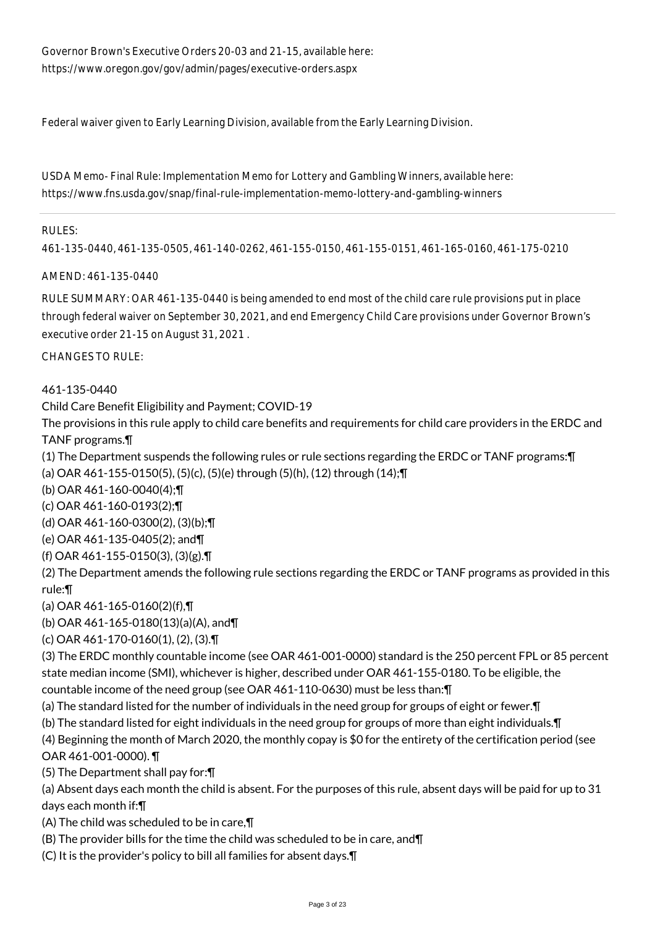Governor Brown's Executive Orders 20-03 and 21-15, available here: https://www.oregon.gov/gov/admin/pages/executive-orders.aspx

Federal waiver given to Early Learning Division, available from the Early Learning Division.

USDA Memo- Final Rule: Implementation Memo for Lottery and Gambling Winners, available here: https://www.fns.usda.gov/snap/final-rule-implementation-memo-lottery-and-gambling-winners

#### RULES:

461-135-0440, 461-135-0505, 461-140-0262, 461-155-0150, 461-155-0151, 461-165-0160, 461-175-0210

#### AMEND: 461-135-0440

RULE SUMMARY: OAR 461-135-0440 is being amended to end most of the child care rule provisions put in place through federal waiver on September 30, 2021, and end Emergency Child Care provisions under Governor Brown's executive order 21-15 on August 31, 2021 .

CHANGES TO RULE:

### 461-135-0440

Child Care Benefit Eligibility and Payment; COVID-19

The provisions in this rule apply to child care benefits and requirements for child care providers in the ERDC and TANF programs.¶

(1) The Department suspends the following rules or rule sections regarding the ERDC or TANF programs:¶

(a) OAR 461-155-0150(5), (5)(c), (5)(e) through (5)(h), (12) through (14);¶

(b) OAR 461-160-0040(4);¶

(c) OAR 461-160-0193(2);¶

(d) OAR 461-160-0300(2), (3)(b);¶

(e) OAR 461-135-0405(2); and¶

(f) OAR 461-155-0150(3), (3)(g).¶

(2) The Department amends the following rule sections regarding the ERDC or TANF programs as provided in this rule:¶

(a) OAR 461-165-0160(2)(f),¶

(b) OAR 461-165-0180(13)(a)(A), and¶

(c) OAR 461-170-0160(1), (2), (3).¶

(3) The ERDC monthly countable income (see OAR 461-001-0000) standard is the 250 percent FPL or 85 percent state median income (SMI), whichever is higher, described under OAR 461-155-0180. To be eligible, the countable income of the need group (see OAR 461-110-0630) must be less than:¶

(a) The standard listed for the number of individuals in the need group for groups of eight or fewer.¶

(b) The standard listed for eight individuals in the need group for groups of more than eight individuals.¶

(4) Beginning the month of March 2020, the monthly copay is \$0 for the entirety of the certification period (see OAR 461-001-0000). ¶

(5) The Department shall pay for:¶

(a) Absent days each month the child is absent. For the purposes of this rule, absent days will be paid for up to 31 days each month if:¶

(A) The child was scheduled to be in care,¶

(B) The provider bills for the time the child was scheduled to be in care, and¶

(C) It is the provider's policy to bill all families for absent days.¶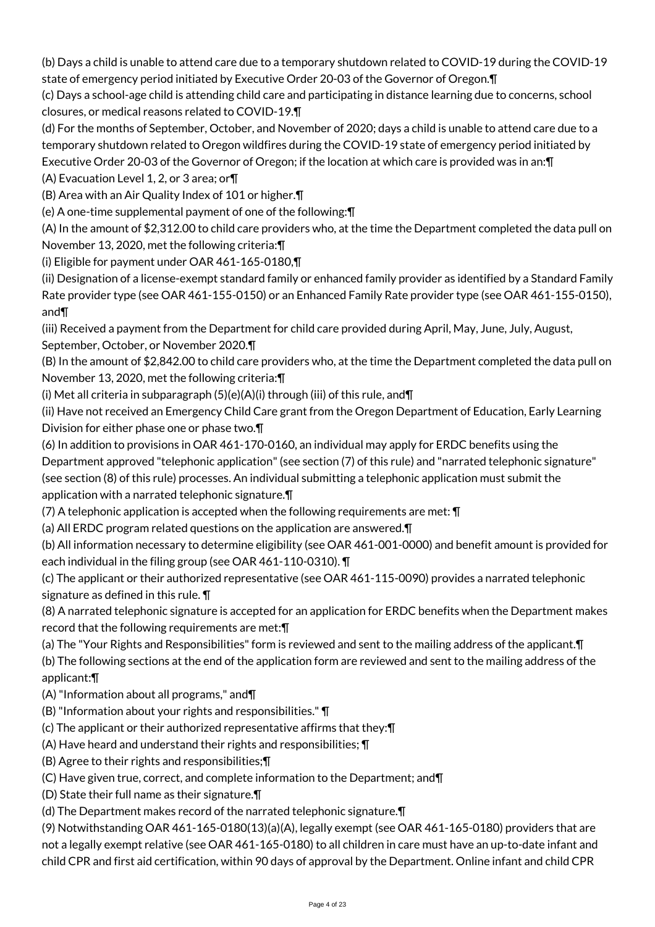(b) Days a child is unable to attend care due to a temporary shutdown related to COVID-19 during the COVID-19 state of emergency period initiated by Executive Order 20-03 of the Governor of Oregon.¶

(c) Days a school-age child is attending child care and participating in distance learning due to concerns, school closures, or medical reasons related to COVID-19.¶

(d) For the months of September, October, and November of 2020; days a child is unable to attend care due to a temporary shutdown related to Oregon wildfires during the COVID-19 state of emergency period initiated by Executive Order 20-03 of the Governor of Oregon; if the location at which care is provided was in an:¶

(A) Evacuation Level 1, 2, or 3 area; or¶

(B) Area with an Air Quality Index of 101 or higher.¶

(e) A one-time supplemental payment of one of the following:¶

(A) In the amount of \$2,312.00 to child care providers who, at the time the Department completed the data pull on November 13, 2020, met the following criteria:¶

(i) Eligible for payment under OAR 461-165-0180,¶

(ii) Designation of a license-exempt standard family or enhanced family provider as identified by a Standard Family Rate provider type (see OAR 461-155-0150) or an Enhanced Family Rate provider type (see OAR 461-155-0150), and¶

(iii) Received a payment from the Department for child care provided during April, May, June, July, August, September, October, or November 2020.¶

(B) In the amount of \$2,842.00 to child care providers who, at the time the Department completed the data pull on November 13, 2020, met the following criteria:¶

(i) Met all criteria in subparagraph (5)(e)(A)(i) through (iii) of this rule, and¶

(ii) Have not received an Emergency Child Care grant from the Oregon Department of Education, Early Learning Division for either phase one or phase two.¶

(6) In addition to provisions in OAR 461-170-0160, an individual may apply for ERDC benefits using the Department approved "telephonic application" (see section (7) of this rule) and "narrated telephonic signature" (see section (8) of this rule) processes. An individual submitting a telephonic application must submit the application with a narrated telephonic signature.¶

(7) A telephonic application is accepted when the following requirements are met: ¶

(a) All ERDC program related questions on the application are answered.¶

(b) All information necessary to determine eligibility (see OAR 461-001-0000) and benefit amount is provided for each individual in the filing group (see OAR 461-110-0310). ¶

(c) The applicant or their authorized representative (see OAR 461-115-0090) provides a narrated telephonic signature as defined in this rule. ¶

(8) A narrated telephonic signature is accepted for an application for ERDC benefits when the Department makes record that the following requirements are met:¶

(a) The "Your Rights and Responsibilities" form is reviewed and sent to the mailing address of the applicant.¶

(b) The following sections at the end of the application form are reviewed and sent to the mailing address of the applicant:¶

- (A) "Information about all programs," and¶
- (B) "Information about your rights and responsibilities." ¶

(c) The applicant or their authorized representative affirms that they:¶

(A) Have heard and understand their rights and responsibilities; ¶

(B) Agree to their rights and responsibilities;¶

(C) Have given true, correct, and complete information to the Department; and¶

(D) State their full name as their signature.¶

(d) The Department makes record of the narrated telephonic signature.¶

(9) Notwithstanding OAR 461-165-0180(13)(a)(A), legally exempt (see OAR 461-165-0180) providers that are not a legally exempt relative (see OAR 461-165-0180) to all children in care must have an up-to-date infant and child CPR and first aid certification, within 90 days of approval by the Department. Online infant and child CPR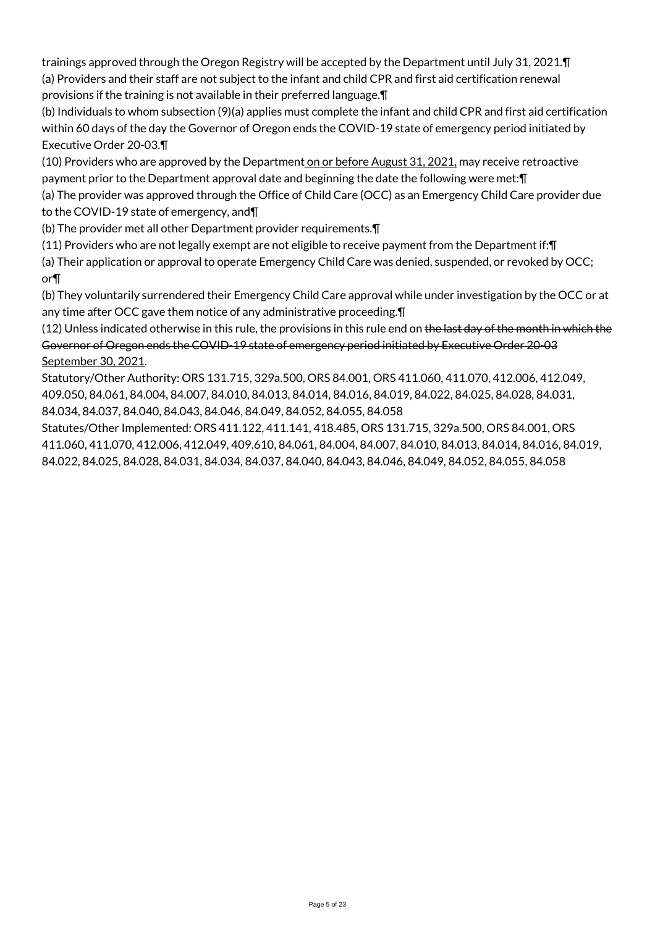trainings approved through the Oregon Registry will be accepted by the Department until July 31, 2021.¶ (a) Providers and their staff are not subject to the infant and child CPR and first aid certification renewal provisions if the training is not available in their preferred language.¶

(b) Individuals to whom subsection (9)(a) applies must complete the infant and child CPR and first aid certification within 60 days of the day the Governor of Oregon ends the COVID-19 state of emergency period initiated by Executive Order 20-03.¶

(10) Providers who are approved by the Department on or before August 31, 2021, may receive retroactive payment prior to the Department approval date and beginning the date the following were met:¶

(a) The provider was approved through the Office of Child Care (OCC) as an Emergency Child Care provider due to the COVID-19 state of emergency, and¶

(b) The provider met all other Department provider requirements.¶

(11) Providers who are not legally exempt are not eligible to receive payment from the Department if:¶

(a) Their application or approval to operate Emergency Child Care was denied, suspended, or revoked by OCC; or¶

(b) They voluntarily surrendered their Emergency Child Care approval while under investigation by the OCC or at any time after OCC gave them notice of any administrative proceeding.¶

(12) Unless indicated otherwise in this rule, the provisions in this rule end on the last day of the month in which the Governor of Oregon ends the COVID-19 state of emergency period initiated by Executive Order 20-03 September 30, 2021.

Statutory/Other Authority: ORS 131.715, 329a.500, ORS 84.001, ORS 411.060, 411.070, 412.006, 412.049, 409.050, 84.061, 84.004, 84.007, 84.010, 84.013, 84.014, 84.016, 84.019, 84.022, 84.025, 84.028, 84.031, 84.034, 84.037, 84.040, 84.043, 84.046, 84.049, 84.052, 84.055, 84.058

Statutes/Other Implemented: ORS 411.122, 411.141, 418.485, ORS 131.715, 329a.500, ORS 84.001, ORS 411.060, 411.070, 412.006, 412.049, 409.610, 84.061, 84.004, 84.007, 84.010, 84.013, 84.014, 84.016, 84.019, 84.022, 84.025, 84.028, 84.031, 84.034, 84.037, 84.040, 84.043, 84.046, 84.049, 84.052, 84.055, 84.058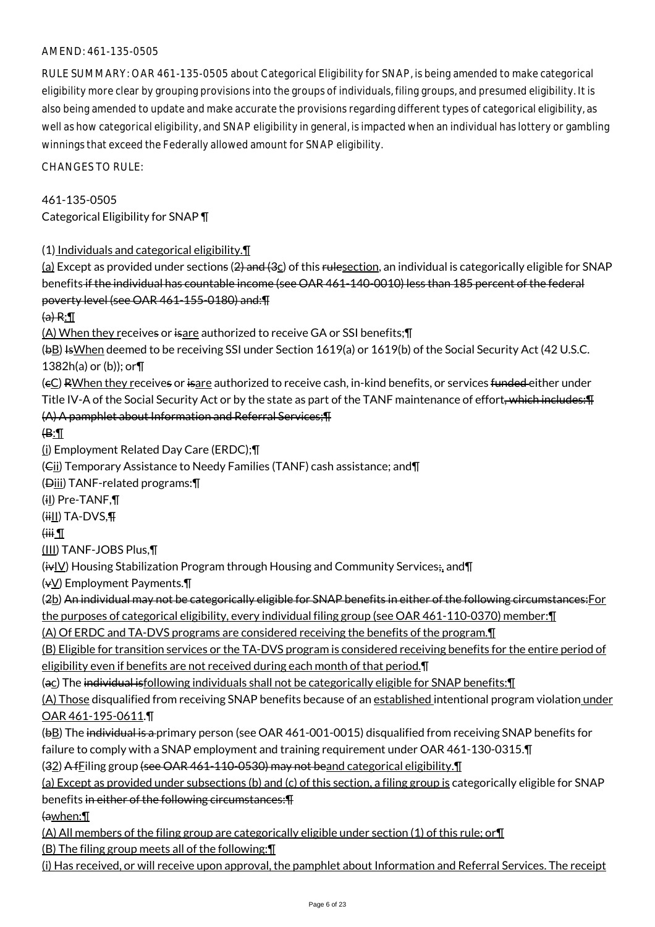### AMEND: 461-135-0505

RULE SUMMARY: OAR 461-135-0505 about Categorical Eligibility for SNAP, is being amended to make categorical eligibility more clear by grouping provisions into the groups of individuals, filing groups, and presumed eligibility. It is also being amended to update and make accurate the provisions regarding different types of categorical eligibility, as well as how categorical eligibility, and SNAP eligibility in general, is impacted when an individual has lottery or gambling winnings that exceed the Federally allowed amount for SNAP eligibility.

CHANGES TO RULE:

# 461-135-0505 Categorical Eligibility for SNAP ¶

(1) Individuals and categorical eligibility.¶

(a) Except as provided under sections  $(2)$  and  $(3c)$  of this rulesection, an individual is categorically eligible for SNAP benefits if the individual has countable income (see OAR 461-140-0010) less than 185 percent of the federal poverty level (see OAR 461-155-0180) and:¶

 $(a) R:\mathbb{I}$ 

(A) When they receives or isare authorized to receive GA or SSI benefits;¶

(bB) IsWhen deemed to be receiving SSI under Section 1619(a) or 1619(b) of the Social Security Act (42 U.S.C. 1382h(a) or (b)); or¶

(cC) RWhen they receives or isare authorized to receive cash, in-kind benefits, or services funded either under Title IV-A of the Social Security Act or by the state as part of the TANF maintenance of effort<del>, which includes: T</del>

### (A) A pamphlet about Information and Referral Services;¶

 $\bigoplus$ :

(i) Employment Related Day Care (ERDC);¶

(Cii) Temporary Assistance to Needy Families (TANF) cash assistance; and¶

(Diii) TANF-related programs:¶

(iI) Pre-TANF,¶

 $(iii)$  TA-DVS, $\P$ 

### $\overline{H}$

(III) TANF-JOBS Plus,¶

 $(i\overline{v}$  Housing Stabilization Program through Housing and Community Services; and  $\P$ 

 $(\forall \vee)$  Employment Payments. $\P$ 

(2b) An individual may not be categorically eligible for SNAP benefits in either of the following circumstances: For

the purposes of categorical eligibility, every individual filing group (see OAR 461-110-0370) member:¶

(A) Of ERDC and TA-DVS programs are considered receiving the benefits of the program.¶

(B) Eligible for transition services or the TA-DVS program is considered receiving benefits for the entire period of eligibility even if benefits are not received during each month of that period. [I]

(ac) The individual isfollowing individuals shall not be categorically eligible for SNAP benefits:¶

(A) Those disqualified from receiving SNAP benefits because of an established intentional program violation under OAR 461-195-0611.¶

(bB) The individual is a primary person (see OAR 461-001-0015) disqualified from receiving SNAP benefits for failure to comply with a SNAP employment and training requirement under OAR 461-130-0315.¶

(32) A fFiling group (see OAR 461-110-0530) may not beand categorical eligibility.¶

(a) Except as provided under subsections (b) and (c) of this section, a filing group is categorically eligible for SNAP benefits in either of the following circumstances:¶

(awhen:¶

(A) All members of the filing group are categorically eligible under section (1) of this rule; or¶

(B) The filing group meets all of the following:¶

(i) Has received, or will receive upon approval, the pamphlet about Information and Referral Services. The receipt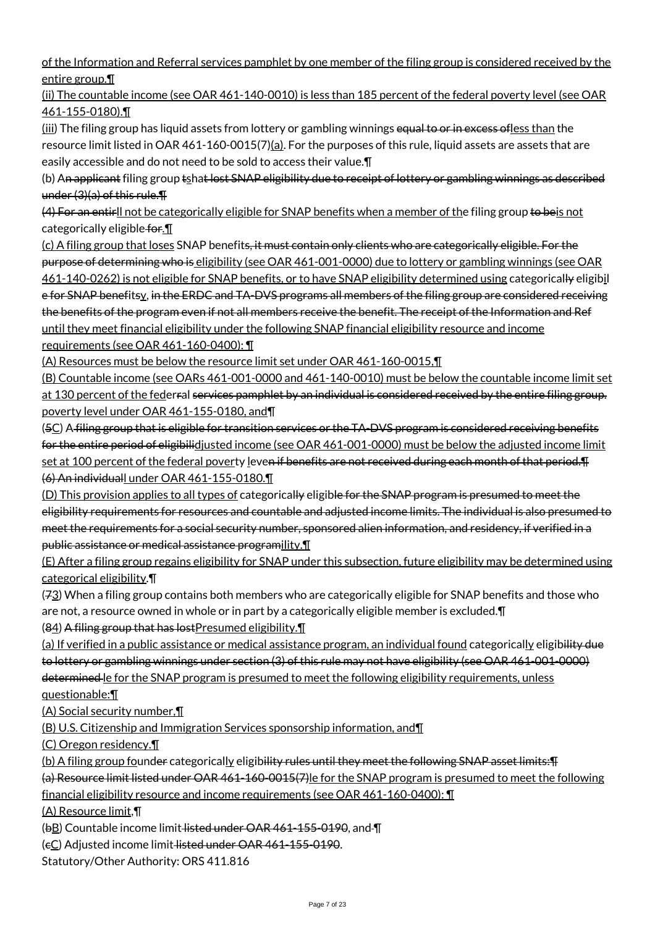of the Information and Referral services pamphlet by one member of the filing group is considered received by the entire group.¶

(ii) The countable income (see OAR 461-140-0010) is less than 185 percent of the federal poverty level (see OAR 461-155-0180).¶

(iii) The filing group has liquid assets from lottery or gambling winnings equal to or in excess ofless than the resource limit listed in OAR 461-160-0015(7)(a). For the purposes of this rule, liquid assets are assets that are easily accessible and do not need to be sold to access their value.¶

(b) An applicant filing group tshat lost SNAP eligibility due to receipt of lottery or gambling winnings as described under (3)(a) of this rule.¶

(4) For an entirll not be categorically eligible for SNAP benefits when a member of the filing group to beis not categorically eligible for.<sup>11</sup>

(c) A filing group that loses SNAP benefits, it must contain only clients who are categorically eligible. For the purpose of determining who is eligibility (see OAR 461-001-0000) due to lottery or gambling winnings (see OAR 461-140-0262) is not eligible for SNAP benefits, or to have SNAP eligibility determined using categorically eligibil e for SNAP benefitsy, in the ERDC and TA-DVS programs all members of the filing group are considered receiving the benefits of the program even if not all members receive the benefit. The receipt of the Information and Ref until they meet financial eligibility under the following SNAP financial eligibility resource and income requirements (see OAR 461-160-0400): ¶

(A) Resources must be below the resource limit set under OAR 461-160-0015,¶

(B) Countable income (see OARs 461-001-0000 and 461-140-0010) must be below the countable income limit set at 130 percent of the federral services pamphlet by an individual is considered received by the entire filing group. poverty level under OAR 461-155-0180, and¶

(5C) A filing group that is eligible for transition services or the TA-DVS program is considered receiving benefits for the entire period of eligibilidjusted income (see OAR 461-001-0000) must be below the adjusted income limit set at 100 percent of the federal poverty leven if benefits are not received during each month of that period. T (6) An individuall under OAR 461-155-0180.¶

(D) This provision applies to all types of categorically eligible for the SNAP program is presumed to meet the eligibility requirements for resources and countable and adjusted income limits. The individual is also presumed to meet the requirements for a social security number, sponsored alien information, and residency, if verified in a public assistance or medical assistance programility.¶

(E) After a filing group regains eligibility for SNAP under this subsection, future eligibility may be determined using categorical eligibility.¶

(73) When a filing group contains both members who are categorically eligible for SNAP benefits and those who are not, a resource owned in whole or in part by a categorically eligible member is excluded.¶

(84) A filing group that has lost Presumed eligibility. I

(a) If verified in a public assistance or medical assistance program, an individual found categorically eligib<del>ility due</del> to lottery or gambling winnings under section (3) of this rule may not have eligibility (see OAR 461-001-0000) determined le for the SNAP program is presumed to meet the following eligibility requirements, unless questionable:¶

(A) Social security number,¶

(B) U.S. Citizenship and Immigration Services sponsorship information, and¶

(C) Oregon residency.¶

(b) A filing group founder categorically eligibility rules until they meet the following SNAP asset limits: Fi

(a) Resource limit listed under OAR 461-160-0015(7)le for the SNAP program is presumed to meet the following financial eligibility resource and income requirements (see OAR 461-160-0400): ¶

(A) Resource limit,¶

(bB) Countable income limit listed under OAR 461-155-0190, and  $\P$ 

(cC) Adjusted income limit listed under OAR 461-155-0190.

Statutory/Other Authority: ORS 411.816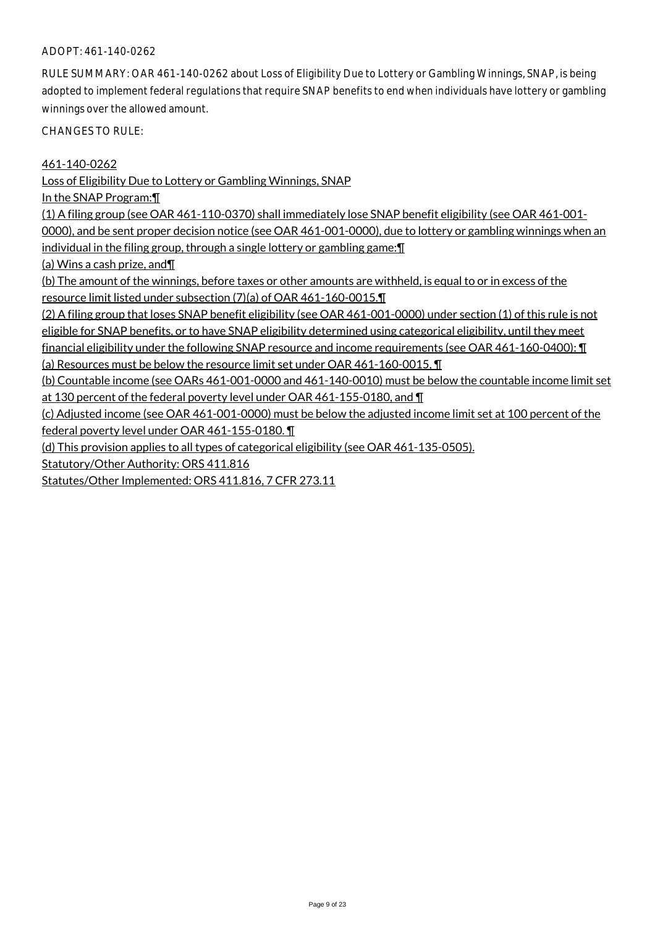#### ADOPT: 461-140-0262

RULE SUMMARY: OAR 461-140-0262 about Loss of Eligibility Due to Lottery or Gambling Winnings, SNAP, is being adopted to implement federal regulations that require SNAP benefits to end when individuals have lottery or gambling winnings over the allowed amount.

CHANGES TO RULE:

461-140-0262

Loss of Eligibility Due to Lottery or Gambling Winnings, SNAP

In the SNAP Program:¶

(1) A filing group (see OAR 461-110-0370) shall immediately lose SNAP benefit eligibility (see OAR 461-001- 0000), and be sent proper decision notice (see OAR 461-001-0000), due to lottery or gambling winnings when an individual in the filing group, through a single lottery or gambling game:¶

(a) Wins a cash prize, and¶

(b) The amount of the winnings, before taxes or other amounts are withheld, is equal to or in excess of the resource limit listed under subsection (7)(a) of OAR 461-160-0015.¶

(2) A filing group that loses SNAP benefit eligibility (see OAR 461-001-0000) under section (1) of this rule is not

eligible for SNAP benefits, or to have SNAP eligibility determined using categorical eligibility, until they meet financial eligibility under the following SNAP resource and income requirements (see OAR 461-160-0400): ¶

(a) Resources must be below the resource limit set under OAR 461-160-0015, ¶

(b) Countable income (see OARs 461-001-0000 and 461-140-0010) must be below the countable income limit set at 130 percent of the federal poverty level under OAR 461-155-0180, and ¶

(c) Adjusted income (see OAR 461-001-0000) must be below the adjusted income limit set at 100 percent of the federal poverty level under OAR 461-155-0180. ¶

(d) This provision applies to all types of categorical eligibility (see OAR 461-135-0505).

Statutory/Other Authority: ORS 411.816

Statutes/Other Implemented: ORS 411.816, 7 CFR 273.11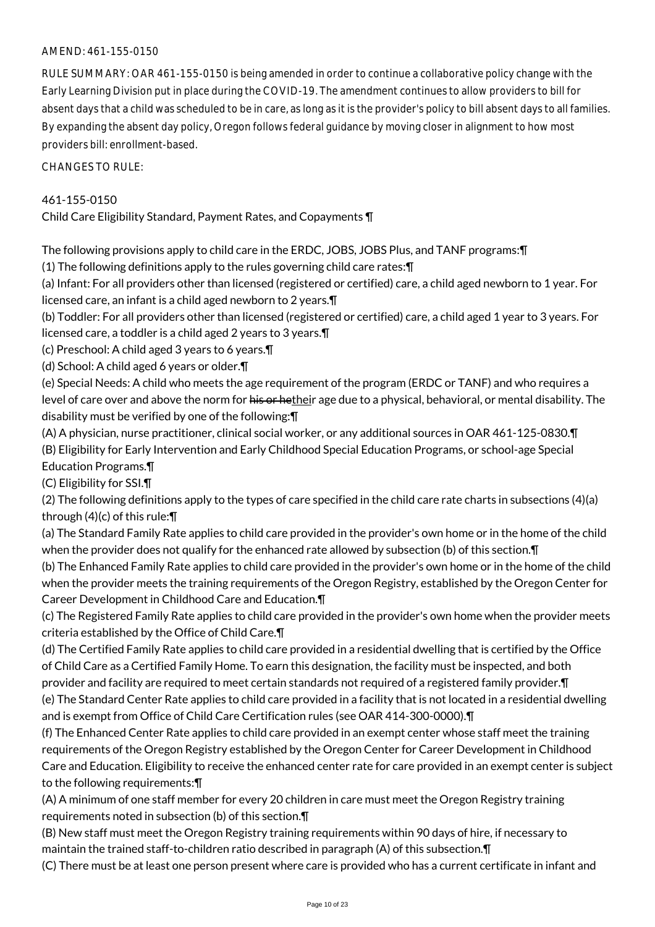### AMEND: 461-155-0150

RULE SUMMARY: OAR 461-155-0150 is being amended in order to continue a collaborative policy change with the Early Learning Division put in place during the COVID-19. The amendment continues to allow providers to bill for absent days that a child was scheduled to be in care, as long as it is the provider's policy to bill absent days to all families. By expanding the absent day policy, Oregon follows federal guidance by moving closer in alignment to how most providers bill: enrollment-based.

CHANGES TO RULE:

# 461-155-0150

Child Care Eligibility Standard, Payment Rates, and Copayments ¶

The following provisions apply to child care in the ERDC, JOBS, JOBS Plus, and TANF programs:¶

(1) The following definitions apply to the rules governing child care rates:¶

(a) Infant: For all providers other than licensed (registered or certified) care, a child aged newborn to 1 year. For licensed care, an infant is a child aged newborn to 2 years.¶

(b) Toddler: For all providers other than licensed (registered or certified) care, a child aged 1 year to 3 years. For licensed care, a toddler is a child aged 2 years to 3 years.¶

(c) Preschool: A child aged 3 years to 6 years.¶

(d) School: A child aged 6 years or older.¶

(e) Special Needs: A child who meets the age requirement of the program (ERDC or TANF) and who requires a level of care over and above the norm for his or hetheir age due to a physical, behavioral, or mental disability. The disability must be verified by one of the following:¶

(A) A physician, nurse practitioner, clinical social worker, or any additional sources in OAR 461-125-0830.¶ (B) Eligibility for Early Intervention and Early Childhood Special Education Programs, or school-age Special Education Programs.¶

(C) Eligibility for SSI.¶

(2) The following definitions apply to the types of care specified in the child care rate charts in subsections (4)(a) through (4)(c) of this rule:¶

(a) The Standard Family Rate applies to child care provided in the provider's own home or in the home of the child when the provider does not qualify for the enhanced rate allowed by subsection (b) of this section.¶

(b) The Enhanced Family Rate applies to child care provided in the provider's own home or in the home of the child when the provider meets the training requirements of the Oregon Registry, established by the Oregon Center for Career Development in Childhood Care and Education.¶

(c) The Registered Family Rate applies to child care provided in the provider's own home when the provider meets criteria established by the Office of Child Care.¶

(d) The Certified Family Rate applies to child care provided in a residential dwelling that is certified by the Office of Child Care as a Certified Family Home. To earn this designation, the facility must be inspected, and both provider and facility are required to meet certain standards not required of a registered family provider. In

(e) The Standard Center Rate applies to child care provided in a facility that is not located in a residential dwelling and is exempt from Office of Child Care Certification rules (see OAR 414-300-0000). IT

(f) The Enhanced Center Rate applies to child care provided in an exempt center whose staff meet the training requirements of the Oregon Registry established by the Oregon Center for Career Development in Childhood Care and Education. Eligibility to receive the enhanced center rate for care provided in an exempt center is subject to the following requirements:¶

(A) A minimum of one staff member for every 20 children in care must meet the Oregon Registry training requirements noted in subsection (b) of this section.¶

(B) New staff must meet the Oregon Registry training requirements within 90 days of hire, if necessary to maintain the trained staff-to-children ratio described in paragraph (A) of this subsection.¶

(C) There must be at least one person present where care is provided who has a current certificate in infant and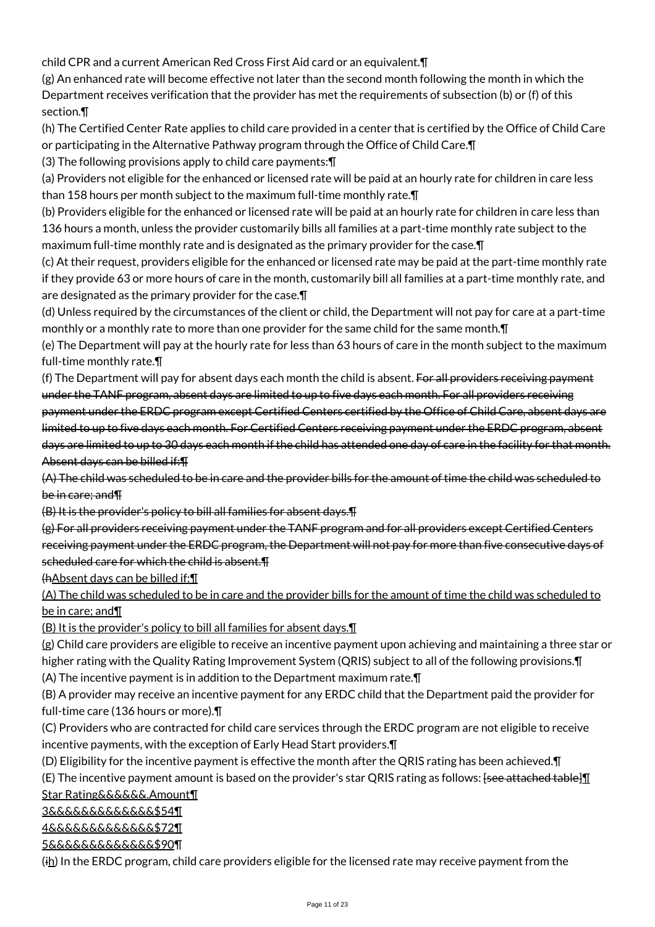child CPR and a current American Red Cross First Aid card or an equivalent.¶

(g) An enhanced rate will become effective not later than the second month following the month in which the Department receives verification that the provider has met the requirements of subsection (b) or (f) of this section.¶

(h) The Certified Center Rate applies to child care provided in a center that is certified by the Office of Child Care or participating in the Alternative Pathway program through the Office of Child Care.¶

(3) The following provisions apply to child care payments:¶

(a) Providers not eligible for the enhanced or licensed rate will be paid at an hourly rate for children in care less than 158 hours per month subject to the maximum full-time monthly rate.¶

(b) Providers eligible for the enhanced or licensed rate will be paid at an hourly rate for children in care less than 136 hours a month, unless the provider customarily bills all families at a part-time monthly rate subject to the maximum full-time monthly rate and is designated as the primary provider for the case.¶

(c) At their request, providers eligible for the enhanced or licensed rate may be paid at the part-time monthly rate if they provide 63 or more hours of care in the month, customarily bill all families at a part-time monthly rate, and are designated as the primary provider for the case.¶

(d) Unless required by the circumstances of the client or child, the Department will not pay for care at a part-time monthly or a monthly rate to more than one provider for the same child for the same month.¶

(e) The Department will pay at the hourly rate for less than 63 hours of care in the month subject to the maximum full-time monthly rate.¶

(f) The Department will pay for absent days each month the child is absent. For all providers receiving payment under the TANF program, absent days are limited to up to five days each month. For all providers receiving payment under the ERDC program except Certified Centers certified by the Office of Child Care, absent days are limited to up to five days each month. For Certified Centers receiving payment under the ERDC program, absent days are limited to up to 30 days each month if the child has attended one day of care in the facility for that month. Absent days can be billed if:¶

(A) The child was scheduled to be in care and the provider bills for the amount of time the child was scheduled to be in care; and¶

(B) It is the provider's policy to bill all families for absent days.¶

(g) For all providers receiving payment under the TANF program and for all providers except Certified Centers receiving payment under the ERDC program, the Department will not pay for more than five consecutive days of scheduled care for which the child is absent.¶

(hAbsent days can be billed if:¶

(A) The child was scheduled to be in care and the provider bills for the amount of time the child was scheduled to be in care; and¶

(B) It is the provider's policy to bill all families for absent days.¶

(g) Child care providers are eligible to receive an incentive payment upon achieving and maintaining a three star or higher rating with the Quality Rating Improvement System (QRIS) subject to all of the following provisions.¶

(A) The incentive payment is in addition to the Department maximum rate.¶

(B) A provider may receive an incentive payment for any ERDC child that the Department paid the provider for full-time care (136 hours or more).¶

(C) Providers who are contracted for child care services through the ERDC program are not eligible to receive incentive payments, with the exception of Early Head Start providers.¶

(D) Eligibility for the incentive payment is effective the month after the QRIS rating has been achieved.¶

(E) The incentive payment amount is based on the provider's star QRIS rating as follows: <del>[see attached table]</del> Star Rating&&&&&&.Amount¶

3&&&&&&&&&&&&&\$54¶

4&&&&&&&&&&&&&\$72¶

5&&&&&&&&&&&&&\$90¶

 $(i<sub>h</sub>)$  In the ERDC program, child care providers eligible for the licensed rate may receive payment from the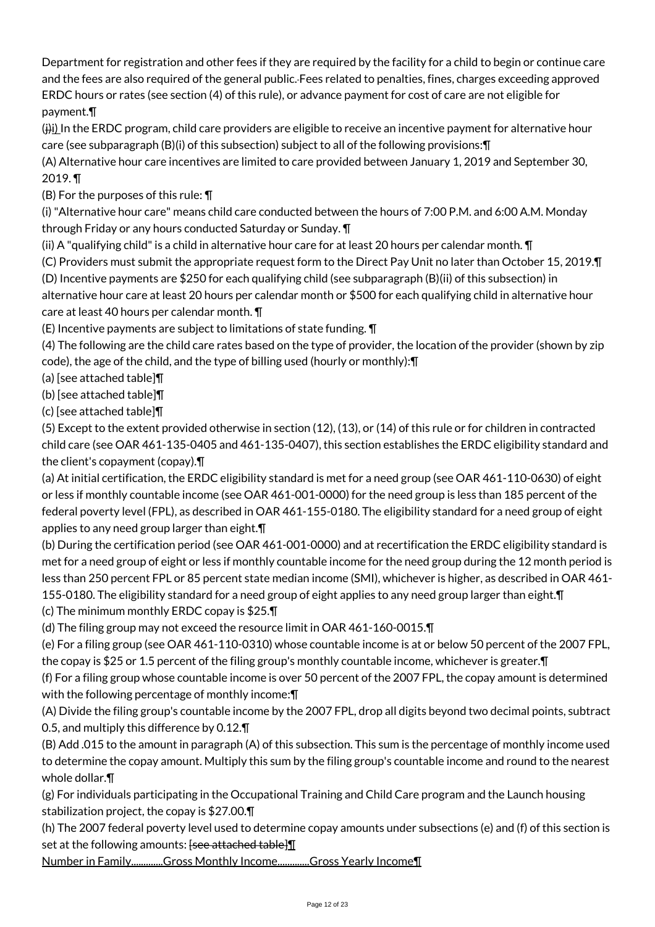Department for registration and other fees if they are required by the facility for a child to begin or continue care and the fees are also required of the general public. Fees related to penalties, fines, charges exceeding approved ERDC hours or rates (see section (4) of this rule), or advance payment for cost of care are not eligible for payment.¶

 $(i)$ i) In the ERDC program, child care providers are eligible to receive an incentive payment for alternative hour care (see subparagraph (B)(i) of this subsection) subject to all of the following provisions:¶

(A) Alternative hour care incentives are limited to care provided between January 1, 2019 and September 30, 2019. ¶

(B) For the purposes of this rule: ¶

(i) "Alternative hour care" means child care conducted between the hours of 7:00 P.M. and 6:00 A.M. Monday through Friday or any hours conducted Saturday or Sunday. ¶

(ii) A "qualifying child" is a child in alternative hour care for at least 20 hours per calendar month. ¶

(C) Providers must submit the appropriate request form to the Direct Pay Unit no later than October 15, 2019.¶

(D) Incentive payments are \$250 for each qualifying child (see subparagraph (B)(ii) of this subsection) in alternative hour care at least 20 hours per calendar month or \$500 for each qualifying child in alternative hour care at least 40 hours per calendar month. ¶

(E) Incentive payments are subject to limitations of state funding. ¶

(4) The following are the child care rates based on the type of provider, the location of the provider (shown by zip code), the age of the child, and the type of billing used (hourly or monthly):¶

(a) [see attached table]¶

(b) [see attached table]¶

(c) [see attached table]¶

(5) Except to the extent provided otherwise in section (12), (13), or (14) of this rule or for children in contracted child care (see OAR 461-135-0405 and 461-135-0407), this section establishes the ERDC eligibility standard and the client's copayment (copay).¶

(a) At initial certification, the ERDC eligibility standard is met for a need group (see OAR 461-110-0630) of eight or less if monthly countable income (see OAR 461-001-0000) for the need group is less than 185 percent of the federal poverty level (FPL), as described in OAR 461-155-0180. The eligibility standard for a need group of eight applies to any need group larger than eight.¶

(b) During the certification period (see OAR 461-001-0000) and at recertification the ERDC eligibility standard is met for a need group of eight or less if monthly countable income for the need group during the 12 month period is less than 250 percent FPL or 85 percent state median income (SMI), whichever is higher, as described in OAR 461- 155-0180. The eligibility standard for a need group of eight applies to any need group larger than eight. In

(c) The minimum monthly ERDC copay is \$25.¶

(d) The filing group may not exceed the resource limit in OAR 461-160-0015.¶

(e) For a filing group (see OAR 461-110-0310) whose countable income is at or below 50 percent of the 2007 FPL, the copay is \$25 or 1.5 percent of the filing group's monthly countable income, whichever is greater.¶

(f) For a filing group whose countable income is over 50 percent of the 2007 FPL, the copay amount is determined with the following percentage of monthly income:¶

(A) Divide the filing group's countable income by the 2007 FPL, drop all digits beyond two decimal points, subtract 0.5, and multiply this difference by 0.12.¶

(B) Add .015 to the amount in paragraph (A) of this subsection. This sum is the percentage of monthly income used to determine the copay amount. Multiply this sum by the filing group's countable income and round to the nearest whole dollar.¶

(g) For individuals participating in the Occupational Training and Child Care program and the Launch housing stabilization project, the copay is \$27.00.¶

(h) The 2007 federal poverty level used to determine copay amounts under subsections (e) and (f) of this section is set at the following amounts:  $[see$  attached table  $\mathbf{I}$ 

Number in Family............Gross Monthly Income............Gross Yearly Income¶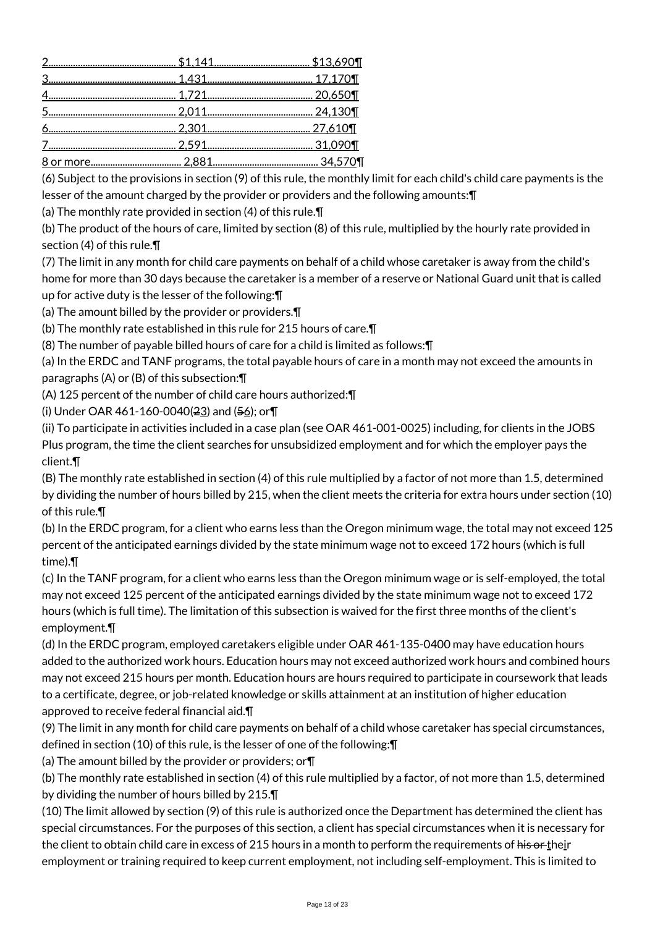(6) Subject to the provisions in section (9) of this rule, the monthly limit for each child's child care payments is the lesser of the amount charged by the provider or providers and the following amounts:¶

(a) The monthly rate provided in section (4) of this rule.¶

(b) The product of the hours of care, limited by section (8) of this rule, multiplied by the hourly rate provided in section (4) of this rule.¶

(7) The limit in any month for child care payments on behalf of a child whose caretaker is away from the child's home for more than 30 days because the caretaker is a member of a reserve or National Guard unit that is called up for active duty is the lesser of the following:¶

(a) The amount billed by the provider or providers.¶

(b) The monthly rate established in this rule for 215 hours of care.¶

(8) The number of payable billed hours of care for a child is limited as follows:¶

(a) In the ERDC and TANF programs, the total payable hours of care in a month may not exceed the amounts in paragraphs (A) or (B) of this subsection:¶

(A) 125 percent of the number of child care hours authorized:¶

(i) Under OAR 461-160-0040( $2\underline{3}$ ) and ( $5\underline{6}$ ); or  $\P$ 

(ii) To participate in activities included in a case plan (see OAR 461-001-0025) including, for clients in the JOBS Plus program, the time the client searches for unsubsidized employment and for which the employer pays the client.¶

(B) The monthly rate established in section (4) of this rule multiplied by a factor of not more than 1.5, determined by dividing the number of hours billed by 215, when the client meets the criteria for extra hours under section (10) of this rule.¶

(b) In the ERDC program, for a client who earns less than the Oregon minimum wage, the total may not exceed 125 percent of the anticipated earnings divided by the state minimum wage not to exceed 172 hours (which is full time).¶

(c) In the TANF program, for a client who earns less than the Oregon minimum wage or is self-employed, the total may not exceed 125 percent of the anticipated earnings divided by the state minimum wage not to exceed 172 hours (which is full time). The limitation of this subsection is waived for the first three months of the client's employment.¶

(d) In the ERDC program, employed caretakers eligible under OAR 461-135-0400 may have education hours added to the authorized work hours. Education hours may not exceed authorized work hours and combined hours may not exceed 215 hours per month. Education hours are hours required to participate in coursework that leads to a certificate, degree, or job-related knowledge or skills attainment at an institution of higher education approved to receive federal financial aid.¶

(9) The limit in any month for child care payments on behalf of a child whose caretaker has special circumstances, defined in section (10) of this rule, is the lesser of one of the following:¶

(a) The amount billed by the provider or providers; or¶

(b) The monthly rate established in section (4) of this rule multiplied by a factor, of not more than 1.5, determined by dividing the number of hours billed by 215.¶

(10) The limit allowed by section (9) of this rule is authorized once the Department has determined the client has special circumstances. For the purposes of this section, a client has special circumstances when it is necessary for the client to obtain child care in excess of 215 hours in a month to perform the requirements of his or their employment or training required to keep current employment, not including self-employment. This is limited to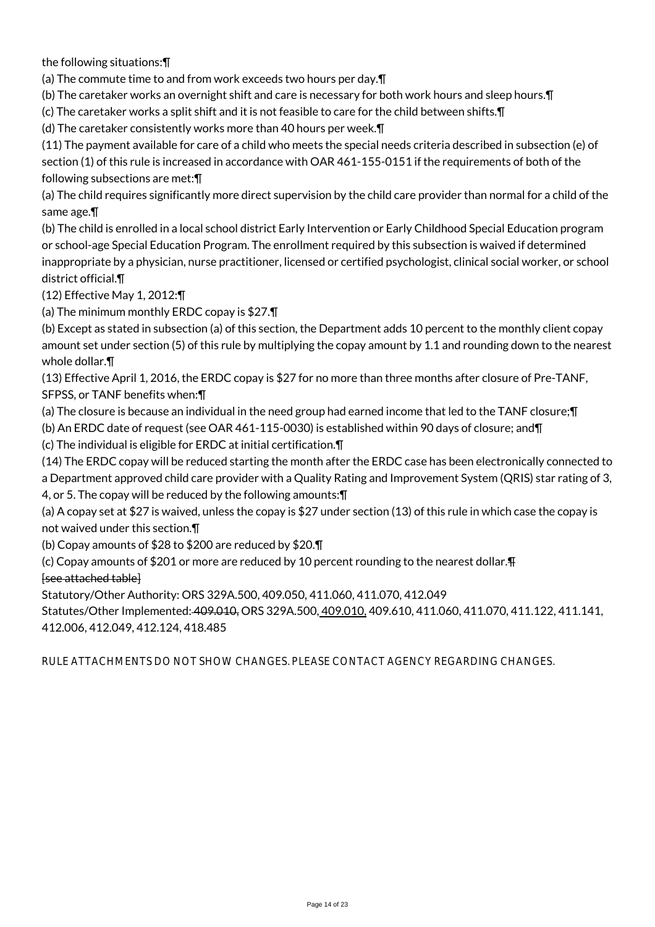the following situations:¶

(a) The commute time to and from work exceeds two hours per day.¶

(b) The caretaker works an overnight shift and care is necessary for both work hours and sleep hours.¶

(c) The caretaker works a split shift and it is not feasible to care for the child between shifts.¶

(d) The caretaker consistently works more than 40 hours per week.¶

(11) The payment available for care of a child who meets the special needs criteria described in subsection (e) of section (1) of this rule is increased in accordance with OAR 461-155-0151 if the requirements of both of the following subsections are met:¶

(a) The child requires significantly more direct supervision by the child care provider than normal for a child of the same age.¶

(b) The child is enrolled in a local school district Early Intervention or Early Childhood Special Education program or school-age Special Education Program. The enrollment required by this subsection is waived if determined inappropriate by a physician, nurse practitioner, licensed or certified psychologist, clinical social worker, or school district official.¶

(12) Effective May 1, 2012:¶

(a) The minimum monthly ERDC copay is \$27.¶

(b) Except as stated in subsection (a) of this section, the Department adds 10 percent to the monthly client copay amount set under section (5) of this rule by multiplying the copay amount by 1.1 and rounding down to the nearest whole dollar.¶

(13) Effective April 1, 2016, the ERDC copay is \$27 for no more than three months after closure of Pre-TANF, SFPSS, or TANF benefits when:¶

(a) The closure is because an individual in the need group had earned income that led to the TANF closure;¶ (b) An ERDC date of request (see OAR 461-115-0030) is established within 90 days of closure; and¶

(c) The individual is eligible for ERDC at initial certification.¶

(14) The ERDC copay will be reduced starting the month after the ERDC case has been electronically connected to a Department approved child care provider with a Quality Rating and Improvement System (QRIS) star rating of 3,

4, or 5. The copay will be reduced by the following amounts:¶

(a) A copay set at \$27 is waived, unless the copay is \$27 under section (13) of this rule in which case the copay is not waived under this section.¶

(b) Copay amounts of \$28 to \$200 are reduced by \$20.¶

(c) Copay amounts of \$201 or more are reduced by 10 percent rounding to the nearest dollar.¶

[see attached table]

Statutory/Other Authority: ORS 329A.500, 409.050, 411.060, 411.070, 412.049

Statutes/Other Implemented: 409.010, ORS 329A.500, 409.010, 409.610, 411.060, 411.070, 411.122, 411.141, 412.006, 412.049, 412.124, 418.485

RULE ATTACHMENTS DO NOT SHOW CHANGES. PLEASE CONTACT AGENCY REGARDING CHANGES.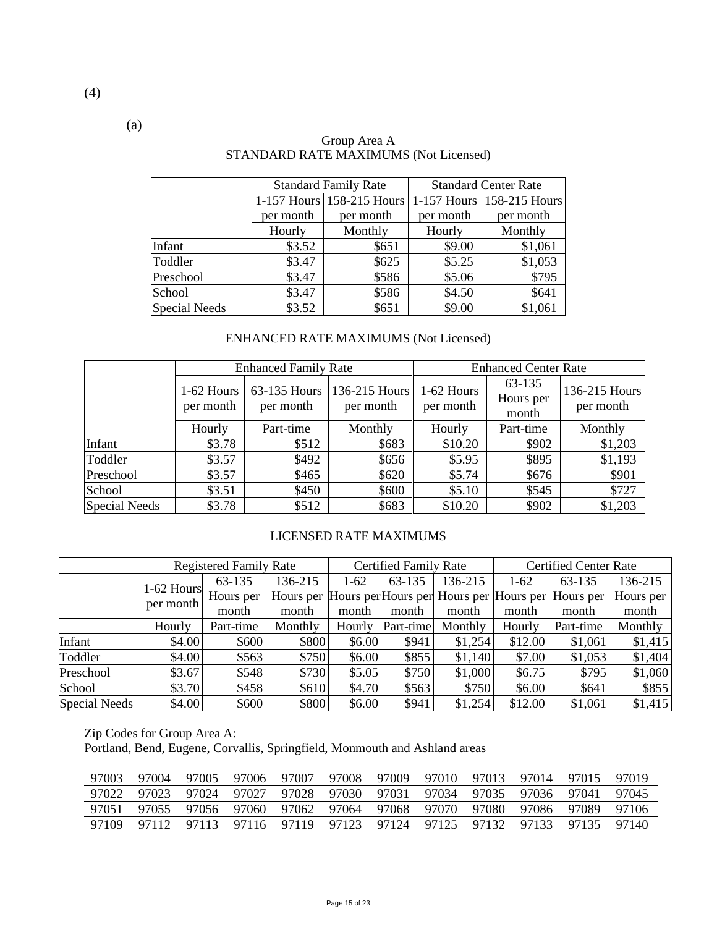|                      |           | <b>Standard Family Rate</b> | <b>Standard Center Rate</b> |                           |  |  |
|----------------------|-----------|-----------------------------|-----------------------------|---------------------------|--|--|
|                      |           | 1-157 Hours 158-215 Hours   |                             | 1-157 Hours 158-215 Hours |  |  |
|                      | per month | per month                   | per month                   | per month                 |  |  |
|                      | Hourly    | Monthly                     | Hourly                      | Monthly                   |  |  |
| Infant               | \$3.52    | \$651                       | \$9.00                      | \$1,061                   |  |  |
| Toddler              | \$3.47    | \$625                       | \$5.25                      | \$1,053                   |  |  |
| Preschool            | \$3.47    | \$586                       | \$5.06                      | \$795                     |  |  |
| School               | \$3.47    | \$586                       | \$4.50                      | \$641                     |  |  |
| <b>Special Needs</b> | \$3.52    | \$651                       | \$9.00                      | \$1,061                   |  |  |

#### Group Area A STANDARD RATE MAXIMUMS (Not Licensed)

# ENHANCED RATE MAXIMUMS (Not Licensed)

|               |                         | <b>Enhanced Family Rate</b> |                            | <b>Enhanced Center Rate</b> |                              |                            |  |
|---------------|-------------------------|-----------------------------|----------------------------|-----------------------------|------------------------------|----------------------------|--|
|               | 1-62 Hours<br>per month | 63-135 Hours<br>per month   | 136-215 Hours<br>per month | 1-62 Hours<br>per month     | 63-135<br>Hours per<br>month | 136-215 Hours<br>per month |  |
|               | Hourly                  | Part-time                   | Monthly                    | Hourly                      | Part-time                    | Monthly                    |  |
| Infant        | \$3.78                  | \$512                       | \$683                      | \$10.20                     | \$902                        | \$1,203                    |  |
| Toddler       | \$3.57                  | \$492                       | \$656                      | \$5.95                      | \$895                        | \$1,193                    |  |
| Preschool     | \$3.57                  | \$465                       | \$620                      | \$5.74                      | \$676                        | \$901                      |  |
| School        | \$3.51                  | \$450                       | \$600                      | \$5.10                      | \$545                        | \$727                      |  |
| Special Needs | \$3.78                  | \$512                       | \$683                      | \$10.20                     | \$902                        | \$1,203                    |  |

### LICENSED RATE MAXIMUMS

|                      |              | <b>Registered Family Rate</b> |         |        | <b>Certified Family Rate</b> |                                                   |         | <b>Certified Center Rate</b> |           |  |
|----------------------|--------------|-------------------------------|---------|--------|------------------------------|---------------------------------------------------|---------|------------------------------|-----------|--|
|                      | $1-62$ Hours | 63-135                        | 136-215 | $1-62$ | 63-135                       | 136-215                                           | $1-62$  | 63-135                       | 136-215   |  |
|                      | per month    | Hours per                     |         |        |                              | Hours per Hours per Hours per Hours per Hours per |         | Hours per                    | Hours per |  |
|                      |              | month                         | month   | month  | month                        | month                                             | month   | month                        | month     |  |
|                      | Hourly       | Part-time                     | Monthly | Hourly | Part-time                    | Monthly                                           | Hourly  | Part-time                    | Monthly   |  |
| Infant               | \$4.00       | \$600                         | \$800   | \$6.00 | \$941                        | \$1,254                                           | \$12.00 | \$1,061                      | \$1,415   |  |
| Toddler              | \$4.00       | \$563                         | \$750   | \$6.00 | \$855                        | \$1,140                                           | \$7.00  | \$1,053                      | \$1,404   |  |
| Preschool            | \$3.67       | \$548                         | \$730   | \$5.05 | \$750                        | \$1,000                                           | \$6.75  | \$795                        | \$1,060   |  |
| School               | \$3.70       | \$458                         | \$610   | \$4.70 | \$563                        | \$750                                             | \$6.00  | \$641                        | \$855     |  |
| <b>Special Needs</b> | \$4.00       | \$600                         | \$800   | \$6.00 | \$941                        | \$1,254                                           | \$12.00 | \$1,061                      | \$1,415   |  |

Zip Codes for Group Area A:

Portland, Bend, Eugene, Corvallis, Springfield, Monmouth and Ashland areas

| 97003 | 97004 | 97005 | 97006 | 97007                   | 97008 | 97009 | 97010 | 97013 | 97014 | 97015 | 97019 |
|-------|-------|-------|-------|-------------------------|-------|-------|-------|-------|-------|-------|-------|
| 97022 | 97023 | 97024 | 97027 | 97028 97030             |       | 97031 | 97034 | 97035 | 97036 | 97041 | 97045 |
| 97051 | 97055 | 97056 |       | 97060 97062 97064       |       | 97068 | 97070 | 97080 | 97086 | 97089 | 97106 |
| 97109 | 97112 | 97113 |       | 97116 97119 97123 97124 |       |       | 97125 | 97132 | 97133 | 97135 | 97140 |

(a)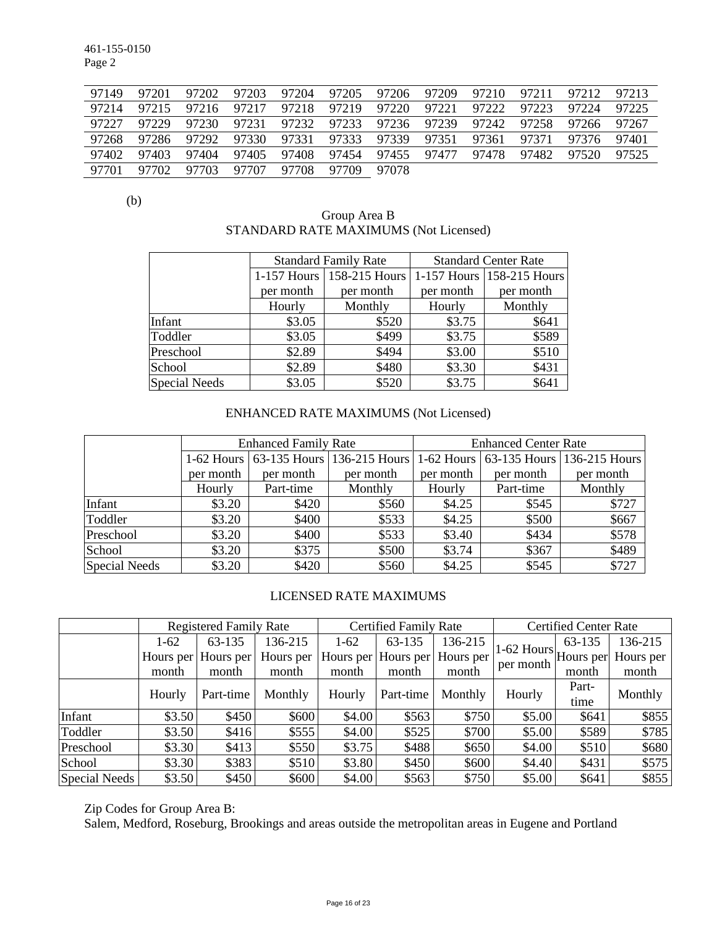461-155-0150 Page 2

| 97149 | 97201 | 97202 | 97203 | 97204 | 97205 | 97206 | 97209 | 97210 | 97211 | 97212 | 97213 |
|-------|-------|-------|-------|-------|-------|-------|-------|-------|-------|-------|-------|
| 97214 | 97215 | 97216 | 97217 | 97218 | 97219 | 97220 | 97221 | 97222 | 97223 | 97224 | 97225 |
| 97227 | 97229 | 97230 | 97231 | 97232 | 97233 | 97236 | 97239 | 97242 | 97258 | 97266 | 97267 |
| 97268 | 97286 | 97292 | 97330 | 97331 | 97333 | 97339 | 97351 | 97361 | 97371 | 97376 | 97401 |
| 97402 | 97403 | 97404 | 97405 | 97408 | 97454 | 97455 | 97477 | 97478 | 97482 | 97520 | 97525 |
| 97701 | 97702 | 97703 | 97707 | 97708 | 97709 | 97078 |       |       |       |       |       |

(b)

## Group Area B STANDARD RATE MAXIMUMS (Not Licensed)

|                      |           | <b>Standard Family Rate</b> | <b>Standard Center Rate</b> |                               |  |  |
|----------------------|-----------|-----------------------------|-----------------------------|-------------------------------|--|--|
|                      |           | 1-157 Hours   158-215 Hours |                             | $1-157$ Hours   158-215 Hours |  |  |
|                      | per month | per month                   | per month                   | per month                     |  |  |
|                      | Hourly    | Monthly                     | Hourly                      | Monthly                       |  |  |
| Infant               | \$3.05    | \$520                       | \$3.75                      | \$641                         |  |  |
| Toddler              | \$3.05    | \$499                       | \$3.75                      | \$589                         |  |  |
| Preschool            | \$2.89    | \$494                       | \$3.00                      | \$510                         |  |  |
| School               | \$2.89    | \$480                       | \$3.30                      | \$431                         |  |  |
| <b>Special Needs</b> | \$3.05    | \$520                       | \$3.75                      | \$641                         |  |  |

# ENHANCED RATE MAXIMUMS (Not Licensed)

|                      |           | <b>Enhanced Family Rate</b> |                                       | <b>Enhanced Center Rate</b> |           |                                       |  |  |
|----------------------|-----------|-----------------------------|---------------------------------------|-----------------------------|-----------|---------------------------------------|--|--|
|                      |           |                             | 1-62 Hours 63-135 Hours 136-215 Hours |                             |           | 1-62 Hours 63-135 Hours 136-215 Hours |  |  |
|                      | per month | per month                   | per month                             | per month                   | per month | per month                             |  |  |
|                      | Hourly    | Part-time                   | Monthly                               | Hourly                      | Part-time | Monthly                               |  |  |
| Infant               | \$3.20    | \$420                       | \$560                                 | \$4.25                      | \$545     | \$727                                 |  |  |
| Toddler              | \$3.20    | \$400                       | \$533                                 | \$4.25                      | \$500     | \$667                                 |  |  |
| Preschool            | \$3.20    | \$400                       | \$533                                 | \$3.40                      | \$434     | \$578                                 |  |  |
| School               | \$3.20    | \$375                       | \$500                                 | \$3.74                      | \$367     | \$489                                 |  |  |
| <b>Special Needs</b> | \$3.20    | \$420                       | \$560                                 | \$4.25                      | \$545     | \$727                                 |  |  |

#### LICENSED RATE MAXIMUMS

|               |        | <b>Registered Family Rate</b> |           | <b>Certified Family Rate</b> |                     |           | <b>Certified Center Rate</b>              |        |           |
|---------------|--------|-------------------------------|-----------|------------------------------|---------------------|-----------|-------------------------------------------|--------|-----------|
|               | $1-62$ | 63-135                        | 136-215   | $1-62$                       | 63-135              | 136-215   |                                           | 63-135 | 136-215   |
|               |        | Hours per Hours per           | Hours per |                              | Hours per Hours per | Hours per | $11-62$ Hours $ $ Hours perl <sup>'</sup> |        | Hours per |
|               | month  | month                         | month     | month                        | month               | month     | per month                                 | month  | month     |
|               | Hourly | Part-time                     | Monthly   | Hourly                       | Part-time           | Monthly   | Hourly                                    | Part-  | Monthly   |
|               |        |                               |           |                              |                     |           |                                           | time   |           |
| Infant        | \$3.50 | \$450                         | \$600     | \$4.00                       | \$563               | \$750     | \$5.00                                    | \$641  | \$855     |
| Toddler       | \$3.50 | \$416                         | \$555     | \$4.00                       | \$525               | \$700     | \$5.00                                    | \$589  | \$785     |
| Preschool     | \$3.30 | \$413                         | \$550     | \$3.75                       | \$488               | \$650     | \$4.00                                    | \$510  | \$680     |
| School        | \$3.30 | \$383                         | \$510     | \$3.80                       | \$450               | \$600     | \$4.40                                    | \$431  | \$575     |
| Special Needs | \$3.50 | \$450                         | \$600     | \$4.00                       | \$563               | \$750     | \$5.00                                    | \$641  | \$855     |

Zip Codes for Group Area B:

Salem, Medford, Roseburg, Brookings and areas outside the metropolitan areas in Eugene and Portland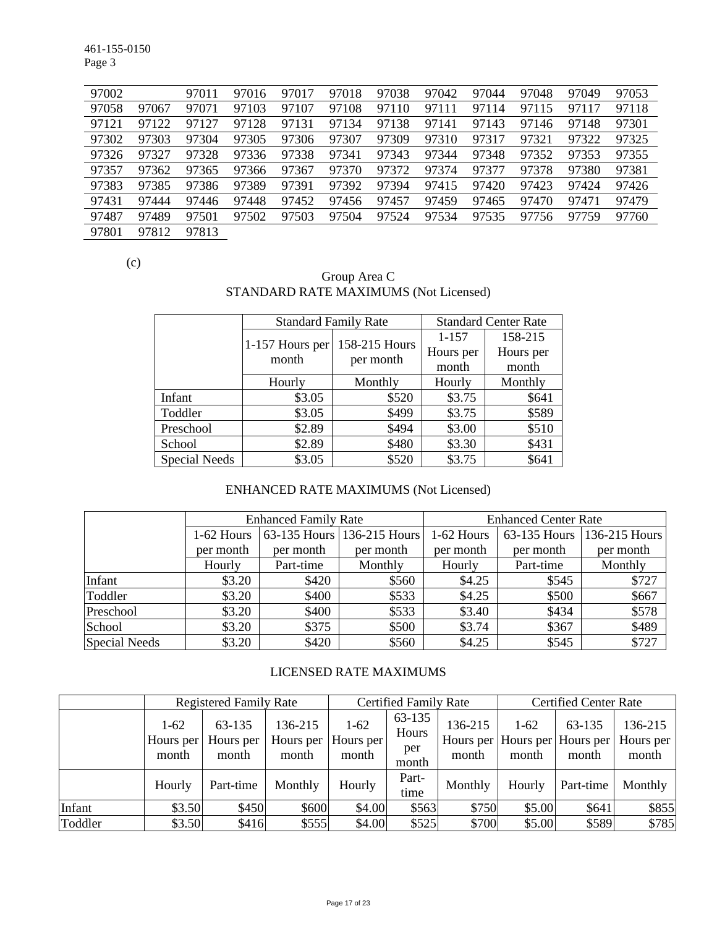461-155-0150 Page 3

| 97002 |       | 97011 | 97016 | 97017 | 97018 | 97038 | 97042 | 97044 | 97048 | 97049 | 97053 |
|-------|-------|-------|-------|-------|-------|-------|-------|-------|-------|-------|-------|
| 97058 | 97067 | 97071 | 97103 | 97107 | 97108 | 97110 | 97111 | 97114 | 97115 | 97117 | 97118 |
| 97121 | 97122 | 97127 | 97128 | 97131 | 97134 | 97138 | 97141 | 97143 | 97146 | 97148 | 97301 |
| 97302 | 97303 | 97304 | 97305 | 97306 | 97307 | 97309 | 97310 | 97317 | 97321 | 97322 | 97325 |
| 97326 | 97327 | 97328 | 97336 | 97338 | 97341 | 97343 | 97344 | 97348 | 97352 | 97353 | 97355 |
| 97357 | 97362 | 97365 | 97366 | 97367 | 97370 | 97372 | 97374 | 97377 | 97378 | 97380 | 97381 |
| 97383 | 97385 | 97386 | 97389 | 97391 | 97392 | 97394 | 97415 | 97420 | 97423 | 97424 | 97426 |
| 97431 | 97444 | 97446 | 97448 | 97452 | 97456 | 97457 | 97459 | 97465 | 97470 | 97471 | 97479 |
| 97487 | 97489 | 97501 | 97502 | 97503 | 97504 | 97524 | 97534 | 97535 | 97756 | 97759 | 97760 |
| 97801 | 97812 | 97813 |       |       |       |       |       |       |       |       |       |

(c)

## Group Area C STANDARD RATE MAXIMUMS (Not Licensed)

|                      | <b>Standard Family Rate</b> |               | <b>Standard Center Rate</b> |           |  |
|----------------------|-----------------------------|---------------|-----------------------------|-----------|--|
|                      |                             | 158-215 Hours | 1-157                       | 158-215   |  |
|                      | 1-157 Hours per<br>month    |               | Hours per                   | Hours per |  |
|                      |                             | per month     | month                       | month     |  |
|                      | Hourly                      | Monthly       | Hourly                      | Monthly   |  |
| Infant               | \$3.05                      | \$520         | \$3.75                      | \$641     |  |
| Toddler              | \$3.05                      | \$499         | \$3.75                      | \$589     |  |
| Preschool            | \$2.89                      | \$494         | \$3.00                      | \$510     |  |
| School               | \$2.89                      | \$480         | \$3.30                      | \$431     |  |
| <b>Special Needs</b> | \$3.05                      | \$520         | \$3.75                      | \$641     |  |

# ENHANCED RATE MAXIMUMS (Not Licensed)

|               |              | <b>Enhanced Family Rate</b> |                            | <b>Enhanced Center Rate</b> |              |               |  |
|---------------|--------------|-----------------------------|----------------------------|-----------------------------|--------------|---------------|--|
|               | $1-62$ Hours |                             | 63-135 Hours 136-215 Hours | 1-62 Hours                  | 63-135 Hours | 136-215 Hours |  |
|               | per month    | per month                   | per month                  | per month                   | per month    | per month     |  |
|               | Hourly       | Part-time                   | Monthly                    | Hourly                      | Part-time    | Monthly       |  |
| Infant        | \$3.20       | \$420                       | \$560                      | \$4.25                      | \$545        | \$727         |  |
| Toddler       | \$3.20       | \$400                       | \$533                      | \$4.25                      | \$500        | \$667         |  |
| Preschool     | \$3.20       | \$400                       | \$533                      | \$3.40                      | \$434        | \$578         |  |
| School        | \$3.20       | \$375                       | \$500                      | \$3.74                      | \$367        | \$489         |  |
| Special Needs | \$3.20       | \$420                       | \$560                      | \$4.25                      | \$545        | \$727         |  |

# LICENSED RATE MAXIMUMS

|         |                                                              | <b>Registered Family Rate</b> |                               |                                | <b>Certified Family Rate</b>    |                  | <b>Certified Center Rate</b> |                                                  |                               |  |
|---------|--------------------------------------------------------------|-------------------------------|-------------------------------|--------------------------------|---------------------------------|------------------|------------------------------|--------------------------------------------------|-------------------------------|--|
|         | 63-135<br>$1-62$<br>Hours per<br>Hours per<br>month<br>month |                               | 136-215<br>Hours per<br>month | $1 - 62$<br>Hours per<br>month | 63-135<br>Hours<br>per<br>month | 136-215<br>month | $1-62$<br>month              | 63-135<br>Hours per Hours per Hours per<br>month | 136-215<br>Hours per<br>month |  |
|         | Hourly                                                       | Part-time                     | Monthly                       | Hourly                         | Part-<br>time                   | Monthly          | Hourly                       | Part-time                                        | Monthly                       |  |
| Infant  | \$3.50                                                       | \$450                         | \$600                         | \$4.00                         | \$563                           | \$750            | \$5.00                       | \$641                                            | \$855                         |  |
| Toddler | \$3.50                                                       | \$416                         | \$555                         | \$4.00                         | \$525                           | \$700            | \$5.00                       | \$589                                            | \$785                         |  |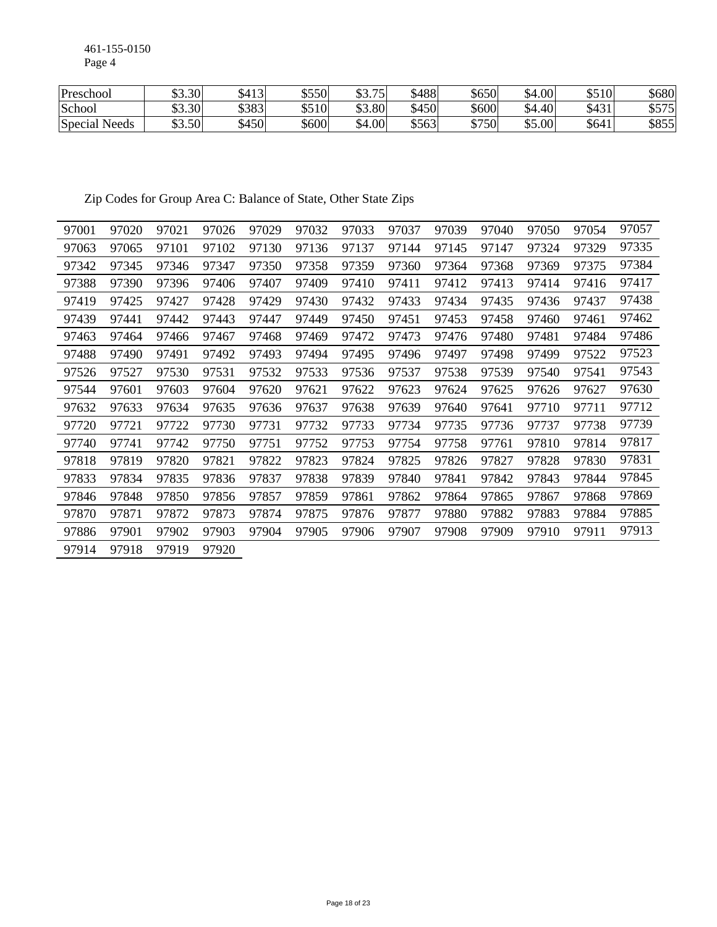461-155-0150 Page 4

| Preschool          | \$3.30 | \$413            | \$550 | 75<br>ሐሳ<br>99.IJ | \$488 | \$650 | \$4.00             | \$510 | \$680 |
|--------------------|--------|------------------|-------|-------------------|-------|-------|--------------------|-------|-------|
| School             | \$3.30 | \$383            | \$510 | \$3.80            | \$450 | \$600 | $+401$<br>ሖ<br>.54 | \$431 | \$575 |
| Special 1<br>Needs | \$3.50 | $\frac{3450}{ }$ | \$600 | \$4.00            | \$563 | \$750 | 65.00              | \$641 | \$855 |

Zip Codes for Group Area C: Balance of State, Other State Zips

| 97001 | 97020 | 97021 | 97026 | 97029 | 97032 | 97033 | 97037 | 97039 | 97040 | 97050 | 97054 | 97057 |
|-------|-------|-------|-------|-------|-------|-------|-------|-------|-------|-------|-------|-------|
| 97063 | 97065 | 97101 | 97102 | 97130 | 97136 | 97137 | 97144 | 97145 | 97147 | 97324 | 97329 | 97335 |
| 97342 | 97345 | 97346 | 97347 | 97350 | 97358 | 97359 | 97360 | 97364 | 97368 | 97369 | 97375 | 97384 |
| 97388 | 97390 | 97396 | 97406 | 97407 | 97409 | 97410 | 97411 | 97412 | 97413 | 97414 | 97416 | 97417 |
| 97419 | 97425 | 97427 | 97428 | 97429 | 97430 | 97432 | 97433 | 97434 | 97435 | 97436 | 97437 | 97438 |
| 97439 | 97441 | 97442 | 97443 | 97447 | 97449 | 97450 | 97451 | 97453 | 97458 | 97460 | 97461 | 97462 |
| 97463 | 97464 | 97466 | 97467 | 97468 | 97469 | 97472 | 97473 | 97476 | 97480 | 97481 | 97484 | 97486 |
| 97488 | 97490 | 97491 | 97492 | 97493 | 97494 | 97495 | 97496 | 97497 | 97498 | 97499 | 97522 | 97523 |
| 97526 | 97527 | 97530 | 97531 | 97532 | 97533 | 97536 | 97537 | 97538 | 97539 | 97540 | 97541 | 97543 |
| 97544 | 97601 | 97603 | 97604 | 97620 | 97621 | 97622 | 97623 | 97624 | 97625 | 97626 | 97627 | 97630 |
| 97632 | 97633 | 97634 | 97635 | 97636 | 97637 | 97638 | 97639 | 97640 | 97641 | 97710 | 97711 | 97712 |
| 97720 | 97721 | 97722 | 97730 | 97731 | 97732 | 97733 | 97734 | 97735 | 97736 | 97737 | 97738 | 97739 |
| 97740 | 97741 | 97742 | 97750 | 97751 | 97752 | 97753 | 97754 | 97758 | 97761 | 97810 | 97814 | 97817 |
| 97818 | 97819 | 97820 | 97821 | 97822 | 97823 | 97824 | 97825 | 97826 | 97827 | 97828 | 97830 | 97831 |
| 97833 | 97834 | 97835 | 97836 | 97837 | 97838 | 97839 | 97840 | 97841 | 97842 | 97843 | 97844 | 97845 |
| 97846 | 97848 | 97850 | 97856 | 97857 | 97859 | 97861 | 97862 | 97864 | 97865 | 97867 | 97868 | 97869 |
| 97870 | 97871 | 97872 | 97873 | 97874 | 97875 | 97876 | 97877 | 97880 | 97882 | 97883 | 97884 | 97885 |
| 97886 | 97901 | 97902 | 97903 | 97904 | 97905 | 97906 | 97907 | 97908 | 97909 | 97910 | 97911 | 97913 |
| 97914 | 97918 | 97919 | 97920 |       |       |       |       |       |       |       |       |       |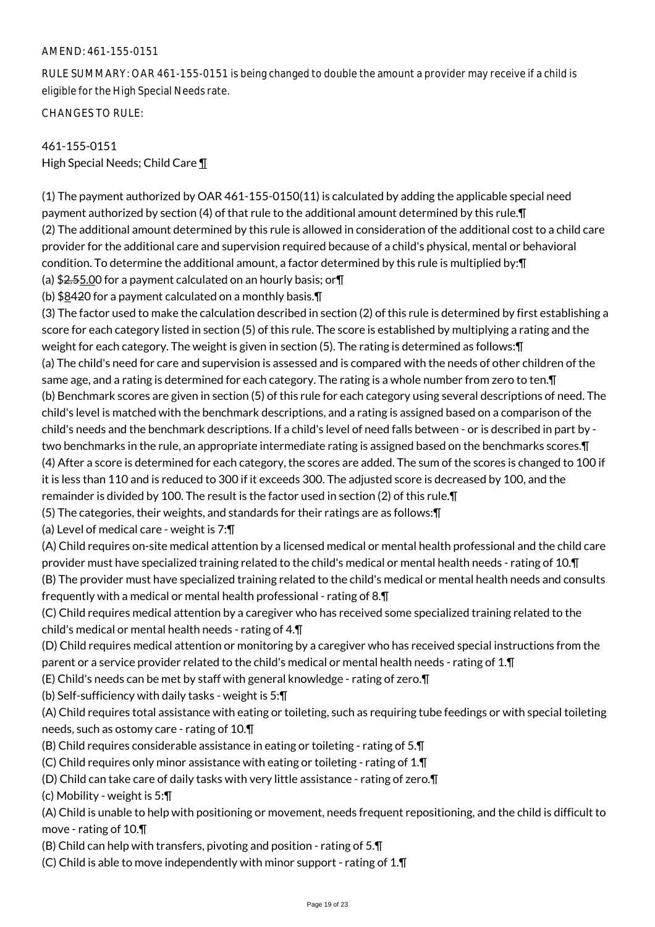#### AMEND: 461-155-0151

RULE SUMMARY: OAR 461-155-0151 is being changed to double the amount a provider may receive if a child is eligible for the High Special Needs rate.

CHANGES TO RULE:

# 461-155-0151 High Special Needs; Child Care ¶

(1) The payment authorized by OAR 461-155-0150(11) is calculated by adding the applicable special need payment authorized by section (4) of that rule to the additional amount determined by this rule.¶ (2) The additional amount determined by this rule is allowed in consideration of the additional cost to a child care provider for the additional care and supervision required because of a child's physical, mental or behavioral condition. To determine the additional amount, a factor determined by this rule is multiplied by:¶ (a)  $$2.55.00$  for a payment calculated on an hourly basis; or  $\P$ 

(b) \$8420 for a payment calculated on a monthly basis.¶

(3) The factor used to make the calculation described in section (2) of this rule is determined by first establishing a score for each category listed in section (5) of this rule. The score is established by multiplying a rating and the weight for each category. The weight is given in section (5). The rating is determined as follows:¶ (a) The child's need for care and supervision is assessed and is compared with the needs of other children of the same age, and a rating is determined for each category. The rating is a whole number from zero to ten.¶ (b) Benchmark scores are given in section (5) of this rule for each category using several descriptions of need. The child's level is matched with the benchmark descriptions, and a rating is assigned based on a comparison of the child's needs and the benchmark descriptions. If a child's level of need falls between - or is described in part by two benchmarks in the rule, an appropriate intermediate rating is assigned based on the benchmarks scores.¶ (4) After a score is determined for each category, the scores are added. The sum of the scores is changed to 100 if it is less than 110 and is reduced to 300 if it exceeds 300. The adjusted score is decreased by 100, and the remainder is divided by 100. The result is the factor used in section (2) of this rule.¶

(5) The categories, their weights, and standards for their ratings are as follows:¶

(a) Level of medical care - weight is 7:¶

(A) Child requires on-site medical attention by a licensed medical or mental health professional and the child care provider must have specialized training related to the child's medical or mental health needs - rating of 10.¶ (B) The provider must have specialized training related to the child's medical or mental health needs and consults frequently with a medical or mental health professional - rating of 8.¶

(C) Child requires medical attention by a caregiver who has received some specialized training related to the child's medical or mental health needs - rating of 4.¶

(D) Child requires medical attention or monitoring by a caregiver who has received special instructions from the parent or a service provider related to the child's medical or mental health needs - rating of 1.¶

(E) Child's needs can be met by staff with general knowledge - rating of zero.¶

(b) Self-sufficiency with daily tasks - weight is 5:¶

(A) Child requires total assistance with eating or toileting, such as requiring tube feedings or with special toileting needs, such as ostomy care - rating of 10.¶

- (B) Child requires considerable assistance in eating or toileting rating of 5.¶
- (C) Child requires only minor assistance with eating or toileting rating of 1.¶
- (D) Child can take care of daily tasks with very little assistance rating of zero.¶

(c) Mobility - weight is 5:¶

(A) Child is unable to help with positioning or movement, needs frequent repositioning, and the child is difficult to move - rating of 10.¶

(B) Child can help with transfers, pivoting and position - rating of 5.¶

(C) Child is able to move independently with minor support - rating of 1.¶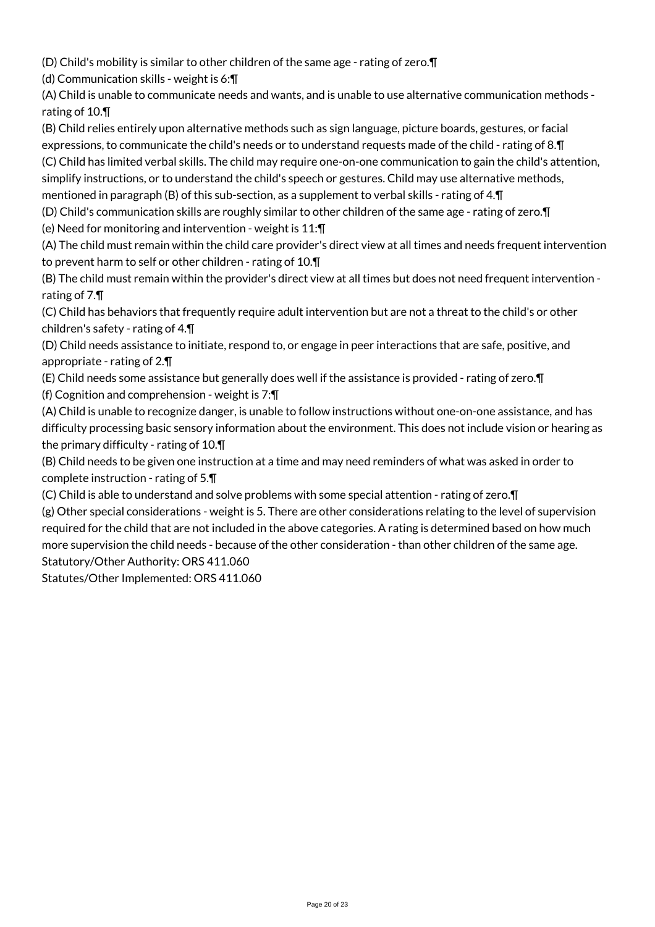(D) Child's mobility is similar to other children of the same age - rating of zero.¶

(d) Communication skills - weight is 6:¶

(A) Child is unable to communicate needs and wants, and is unable to use alternative communication methods rating of 10.¶

(B) Child relies entirely upon alternative methods such as sign language, picture boards, gestures, or facial expressions, to communicate the child's needs or to understand requests made of the child - rating of 8.¶

(C) Child has limited verbal skills. The child may require one-on-one communication to gain the child's attention, simplify instructions, or to understand the child's speech or gestures. Child may use alternative methods, mentioned in paragraph (B) of this sub-section, as a supplement to verbal skills - rating of 4.¶

(D) Child's communication skills are roughly similar to other children of the same age - rating of zero.¶

(e) Need for monitoring and intervention - weight is 11:¶

(A) The child must remain within the child care provider's direct view at all times and needs frequent intervention to prevent harm to self or other children - rating of 10.¶

(B) The child must remain within the provider's direct view at all times but does not need frequent intervention rating of 7.¶

(C) Child has behaviors that frequently require adult intervention but are not a threat to the child's or other children's safety - rating of 4.¶

(D) Child needs assistance to initiate, respond to, or engage in peer interactions that are safe, positive, and appropriate - rating of 2.¶

(E) Child needs some assistance but generally does well if the assistance is provided - rating of zero.¶ (f) Cognition and comprehension - weight is 7:¶

(A) Child is unable to recognize danger, is unable to follow instructions without one-on-one assistance, and has difficulty processing basic sensory information about the environment. This does not include vision or hearing as the primary difficulty - rating of 10.¶

(B) Child needs to be given one instruction at a time and may need reminders of what was asked in order to complete instruction - rating of 5.¶

(C) Child is able to understand and solve problems with some special attention - rating of zero.¶

(g) Other special considerations - weight is 5. There are other considerations relating to the level of supervision required for the child that are not included in the above categories. A rating is determined based on how much more supervision the child needs - because of the other consideration - than other children of the same age. Statutory/Other Authority: ORS 411.060

Statutes/Other Implemented: ORS 411.060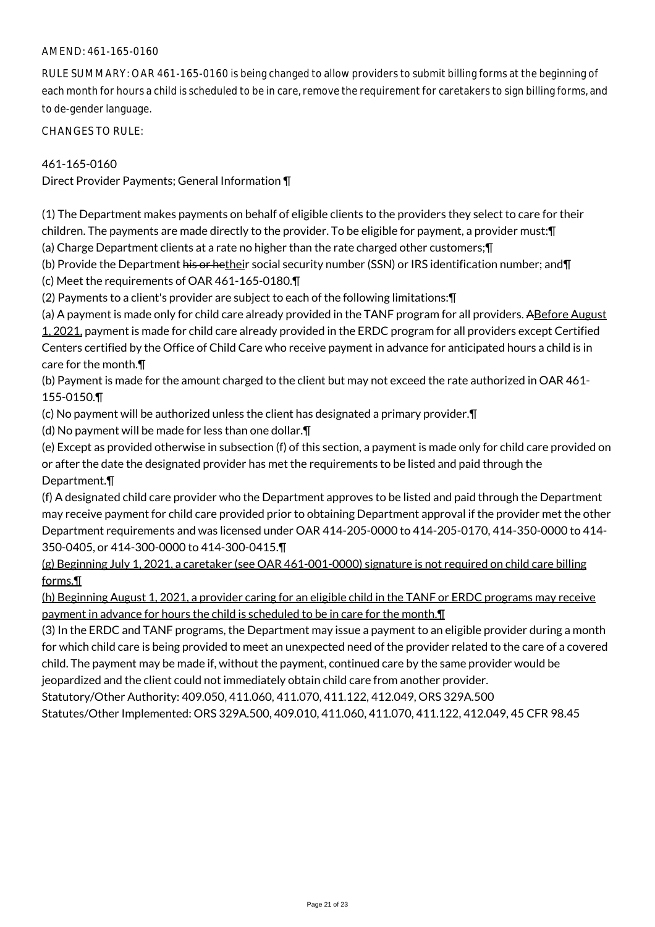#### AMEND: 461-165-0160

RULE SUMMARY: OAR 461-165-0160 is being changed to allow providers to submit billing forms at the beginning of each month for hours a child is scheduled to be in care, remove the requirement for caretakers to sign billing forms, and to de-gender language.

CHANGES TO RULE:

### 461-165-0160

Direct Provider Payments; General Information ¶

(1) The Department makes payments on behalf of eligible clients to the providers they select to care for their children. The payments are made directly to the provider. To be eligible for payment, a provider must:¶

(a) Charge Department clients at a rate no higher than the rate charged other customers;¶

(b) Provide the Department his or hetheir social security number (SSN) or IRS identification number; and [

(c) Meet the requirements of OAR 461-165-0180.¶

(2) Payments to a client's provider are subject to each of the following limitations:¶

(a) A payment is made only for child care already provided in the TANF program for all providers. ABefore August 1, 2021, payment is made for child care already provided in the ERDC program for all providers except Certified Centers certified by the Office of Child Care who receive payment in advance for anticipated hours a child is in care for the month.¶

(b) Payment is made for the amount charged to the client but may not exceed the rate authorized in OAR 461- 155-0150.¶

(c) No payment will be authorized unless the client has designated a primary provider.¶

(d) No payment will be made for less than one dollar.¶

(e) Except as provided otherwise in subsection (f) of this section, a payment is made only for child care provided on or after the date the designated provider has met the requirements to be listed and paid through the Department.¶

(f) A designated child care provider who the Department approves to be listed and paid through the Department may receive payment for child care provided prior to obtaining Department approval if the provider met the other Department requirements and was licensed under OAR 414-205-0000 to 414-205-0170, 414-350-0000 to 414- 350-0405, or 414-300-0000 to 414-300-0415.¶

(g) Beginning July 1, 2021, a caretaker (see OAR 461-001-0000) signature is not required on child care billing forms.¶

(h) Beginning August 1, 2021, a provider caring for an eligible child in the TANF or ERDC programs may receive payment in advance for hours the child is scheduled to be in care for the month. $\P$ 

(3) In the ERDC and TANF programs, the Department may issue a payment to an eligible provider during a month for which child care is being provided to meet an unexpected need of the provider related to the care of a covered child. The payment may be made if, without the payment, continued care by the same provider would be jeopardized and the client could not immediately obtain child care from another provider.

Statutory/Other Authority: 409.050, 411.060, 411.070, 411.122, 412.049, ORS 329A.500

Statutes/Other Implemented: ORS 329A.500, 409.010, 411.060, 411.070, 411.122, 412.049, 45 CFR 98.45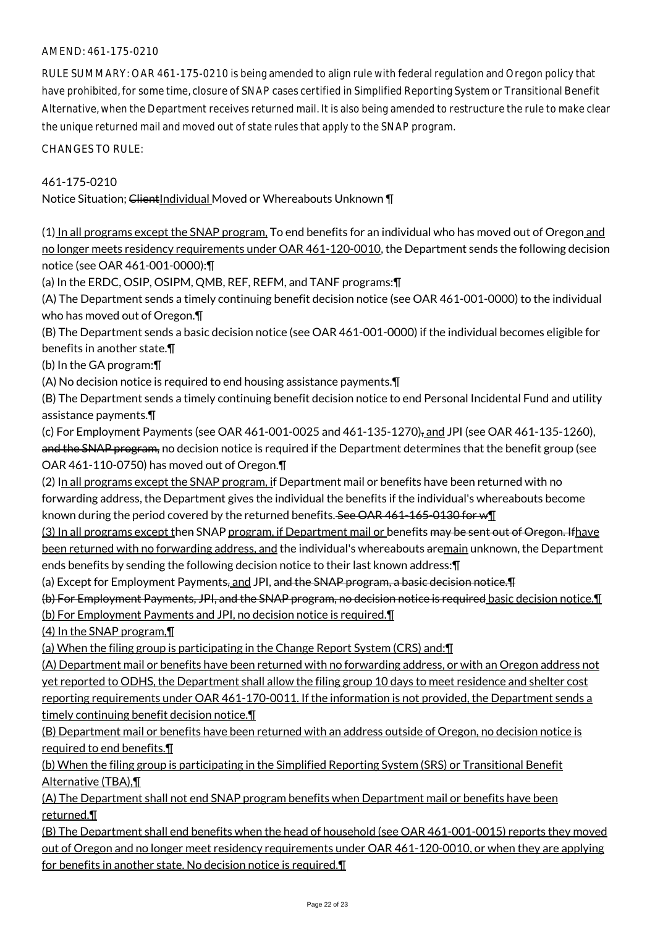### AMEND: 461-175-0210

RULE SUMMARY: OAR 461-175-0210 is being amended to align rule with federal regulation and Oregon policy that have prohibited, for some time, closure of SNAP cases certified in Simplified Reporting System or Transitional Benefit Alternative, when the Department receives returned mail. It is also being amended to restructure the rule to make clear the unique returned mail and moved out of state rules that apply to the SNAP program.

CHANGES TO RULE:

461-175-0210

Notice Situation; ClientIndividual Moved or Whereabouts Unknown \[

(1) In all programs except the SNAP program, To end benefits for an individual who has moved out of Oregon and no longer meets residency requirements under OAR 461-120-0010, the Department sends the following decision notice (see OAR 461-001-0000):¶

(a) In the ERDC, OSIP, OSIPM, QMB, REF, REFM, and TANF programs:¶

(A) The Department sends a timely continuing benefit decision notice (see OAR 461-001-0000) to the individual who has moved out of Oregon.¶

(B) The Department sends a basic decision notice (see OAR 461-001-0000) if the individual becomes eligible for benefits in another state.¶

(b) In the GA program:¶

(A) No decision notice is required to end housing assistance payments.¶

(B) The Department sends a timely continuing benefit decision notice to end Personal Incidental Fund and utility assistance payments.¶

(c) For Employment Payments (see OAR 461-001-0025 and 461-135-1270), and JPI (see OAR 461-135-1260), and the SNAP program, no decision notice is required if the Department determines that the benefit group (see OAR 461-110-0750) has moved out of Oregon.¶

(2) In all programs except the SNAP program, if Department mail or benefits have been returned with no forwarding address, the Department gives the individual the benefits if the individual's whereabouts become known during the period covered by the returned benefits. See OAR 461-165-0130 for w¶

(3) In all programs except then SNAP program, if Department mail or benefits may be sent out of Oregon. Ifhave been returned with no forwarding address, and the individual's whereabouts aremain unknown, the Department ends benefits by sending the following decision notice to their last known address:¶

(a) Except for Employment Payments, and JPI, and the SNAP program, a basic decision notice. The

(b) For Employment Payments, JPI, and the SNAP program, no decision notice is required basic decision notice.¶ (b) For Employment Payments and JPI, no decision notice is required.¶

(4) In the SNAP program,¶

(a) When the filing group is participating in the Change Report System (CRS) and:¶

(A) Department mail or benefits have been returned with no forwarding address, or with an Oregon address not yet reported to ODHS, the Department shall allow the filing group 10 days to meet residence and shelter cost reporting requirements under OAR 461-170-0011. If the information is not provided, the Department sends a timely continuing benefit decision notice.¶

(B) Department mail or benefits have been returned with an address outside of Oregon, no decision notice is required to end benefits.¶

(b) When the filing group is participating in the Simplified Reporting System (SRS) or Transitional Benefit Alternative (TBA),¶

(A) The Department shall not end SNAP program benefits when Department mail or benefits have been returned.¶

(B) The Department shall end benefits when the head of household (see OAR 461-001-0015) reports they moved out of Oregon and no longer meet residency requirements under OAR 461-120-0010, or when they are applying for benefits in another state. No decision notice is required.¶